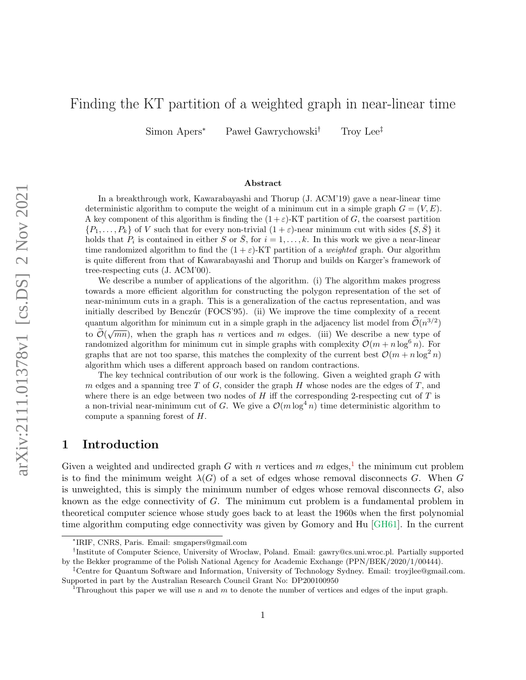# Finding the KT partition of a weighted graph in near-linear time

Simon Apers<sup>∗</sup> Paweł Gawrychowski<sup>†</sup> Troy Lee<sup>‡</sup>

#### Abstract

In a breakthrough work, Kawarabayashi and Thorup (J. ACM'19) gave a near-linear time deterministic algorithm to compute the weight of a minimum cut in a simple graph  $G = (V, E)$ . A key component of this algorithm is finding the  $(1 + \varepsilon)$ -KT partition of G, the coarsest partition  $\{P_1,\ldots,P_k\}$  of V such that for every non-trivial  $(1+\varepsilon)$ -near minimum cut with sides  $\{S,\bar{S}\}$  it holds that  $P_i$  is contained in either S or  $\overline{S}$ , for  $i = 1, ..., k$ . In this work we give a near-linear time randomized algorithm to find the  $(1 + \varepsilon)$ -KT partition of a *weighted* graph. Our algorithm is quite different from that of Kawarabayashi and Thorup and builds on Karger's framework of tree-respecting cuts (J. ACM'00).

We describe a number of applications of the algorithm. (i) The algorithm makes progress towards a more efficient algorithm for constructing the polygon representation of the set of near-minimum cuts in a graph. This is a generalization of the cactus representation, and was initially described by Benczúr (FOCS'95). (ii) We improve the time complexity of a recent quantum algorithm for minimum cut in a simple graph in the adjacency list model from  $\tilde{\mathcal{O}}(n^{3/2})$ to  $\tilde{\mathcal{O}}(\sqrt{mn})$ , when the graph has *n* vertices and *m* edges. (iii) We describe a new type of randomized algorithm for minimum cut in simple graphs with complexity  $\mathcal{O}(m + n \log^6 n)$ . For graphs that are not too sparse, this matches the complexity of the current best  $\mathcal{O}(m + n \log^2 n)$ algorithm which uses a different approach based on random contractions.

The key technical contribution of our work is the following. Given a weighted graph G with m edges and a spanning tree  $T$  of  $G$ , consider the graph  $H$  whose nodes are the edges of  $T$ , and where there is an edge between two nodes of  $H$  iff the corresponding 2-respecting cut of  $T$  is a non-trivial near-minimum cut of G. We give a  $\mathcal{O}(m \log^4 n)$  time deterministic algorithm to compute a spanning forest of H.

# 1 Introduction

Given a weighted and undirected graph G with n vertices and m edges,<sup>[1](#page-0-0)</sup> the minimum cut problem is to find the minimum weight  $\lambda(G)$  of a set of edges whose removal disconnects G. When G is unweighted, this is simply the minimum number of edges whose removal disconnects  $G$ , also known as the edge connectivity of G. The minimum cut problem is a fundamental problem in theoretical computer science whose study goes back to at least the 1960s when the first polynomial time algorithm computing edge connectivity was given by Gomory and Hu [\[GH61\]](#page-26-0). In the current

<sup>∗</sup> IRIF, CNRS, Paris. Email: smgapers@gmail.com

<sup>&</sup>lt;sup>†</sup>Institute of Computer Science, University of Wrocław, Poland. Email: gawry@cs.uni.wroc.pl. Partially supported by the Bekker programme of the Polish National Agency for Academic Exchange (PPN/BEK/2020/1/00444).

<sup>‡</sup>Centre for Quantum Software and Information, University of Technology Sydney. Email: troyjlee@gmail.com. Supported in part by the Australian Research Council Grant No: DP200100950

<span id="page-0-0"></span>Throughout this paper we will use n and m to denote the number of vertices and edges of the input graph.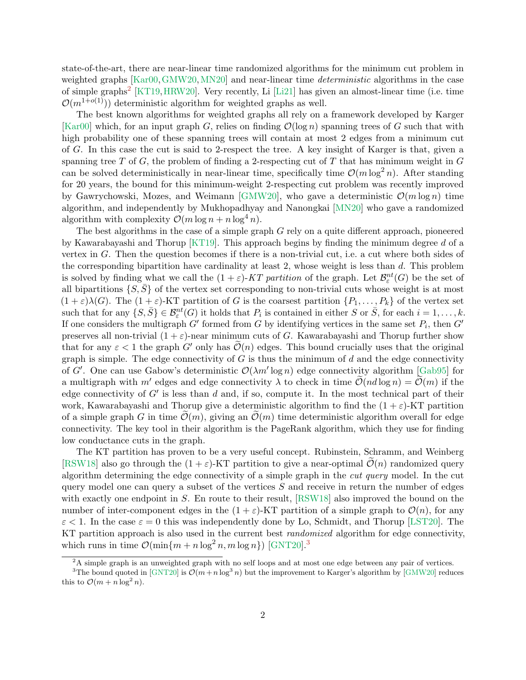state-of-the-art, there are near-linear time randomized algorithms for the minimum cut problem in weighted graphs [\[Kar00,](#page-27-0) [GMW20,](#page-26-1) [MN20\]](#page-27-1) and near-linear time *deterministic* algorithms in the case of simple graphs<sup>[2](#page-1-0)</sup> [\[KT19,](#page-27-2) [HRW20\]](#page-27-3). Very recently, Li [\[Li21\]](#page-27-4) has given an almost-linear time (i.e. time  $\mathcal{O}(m^{1+o(1)})$  deterministic algorithm for weighted graphs as well.

The best known algorithms for weighted graphs all rely on a framework developed by Karger [\[Kar00\]](#page-27-0) which, for an input graph G, relies on finding  $\mathcal{O}(\log n)$  spanning trees of G such that with high probability one of these spanning trees will contain at most 2 edges from a minimum cut of G. In this case the cut is said to 2-respect the tree. A key insight of Karger is that, given a spanning tree  $T$  of  $G$ , the problem of finding a 2-respecting cut of  $T$  that has minimum weight in  $G$ can be solved deterministically in near-linear time, specifically time  $\mathcal{O}(m \log^2 n)$ . After standing for 20 years, the bound for this minimum-weight 2-respecting cut problem was recently improved by Gawrychowski, Mozes, and Weimann [\[GMW20\]](#page-26-1), who gave a deterministic  $\mathcal{O}(m \log n)$  time algorithm, and independently by Mukhopadhyay and Nanongkai [\[MN20\]](#page-27-1) who gave a randomized algorithm with complexity  $\mathcal{O}(m \log n + n \log^4 n)$ .

The best algorithms in the case of a simple graph G rely on a quite different approach, pioneered by Kawarabayashi and Thorup  $\vert$ KT19. This approach begins by finding the minimum degree d of a vertex in G. Then the question becomes if there is a non-trivial cut, i.e. a cut where both sides of the corresponding bipartition have cardinality at least 2, whose weight is less than d. This problem is solved by finding what we call the  $(1+\varepsilon)$ -KT partition of the graph. Let  $\mathcal{B}^{nt}_{\varepsilon}(G)$  be the set of all bipartitions  $\{S, \overline{S}\}\$  of the vertex set corresponding to non-trivial cuts whose weight is at most  $(1+\varepsilon)\lambda(G)$ . The  $(1+\varepsilon)$ -KT partition of G is the coarsest partition  $\{P_1,\ldots,P_k\}$  of the vertex set such that for any  $\{S, \bar{S}\}\in \mathcal{B}_{\varepsilon}^{nt}(G)$  it holds that  $P_i$  is contained in either S or  $\bar{S}$ , for each  $i = 1, \ldots, k$ . If one considers the multigraph  $G'$  formed from G by identifying vertices in the same set  $P_i$ , then  $G'$ preserves all non-trivial  $(1 + \varepsilon)$ -near minimum cuts of G. Kawarabayashi and Thorup further show that for any  $\varepsilon < 1$  the graph G' only has  $\mathcal{O}(n)$  edges. This bound crucially uses that the original graph is simple. The edge connectivity of  $G$  is thus the minimum of  $d$  and the edge connectivity of G'. One can use Gabow's deterministic  $\mathcal{O}(\lambda m' \log n)$  edge connectivity algorithm [\[Gab95\]](#page-26-2) for a multigraph with  $m'$  edges and edge connectivity  $\lambda$  to check in time  $\mathcal{O}(nd \log n) = \mathcal{O}(m)$  if the edge connectivity of  $G'$  is less than d and, if so, compute it. In the most technical part of their work, Kawarabayashi and Thorup give a deterministic algorithm to find the  $(1 + \varepsilon)$ -KT partition of a simple graph G in time  $\mathcal{O}(m)$ , giving an  $\mathcal{O}(m)$  time deterministic algorithm overall for edge connectivity. The key tool in their algorithm is the PageRank algorithm, which they use for finding low conductance cuts in the graph.

The KT partition has proven to be a very useful concept. Rubinstein, Schramm, and Weinberg [\[RSW18\]](#page-27-5) also go through the  $(1 + \varepsilon)$ -KT partition to give a near-optimal  $\mathcal{O}(n)$  randomized query algorithm determining the edge connectivity of a simple graph in the cut query model. In the cut query model one can query a subset of the vertices  $S$  and receive in return the number of edges with exactly one endpoint in  $S$ . En route to their result,  $[RSW18]$  also improved the bound on the number of inter-component edges in the  $(1 + \varepsilon)$ -KT partition of a simple graph to  $\mathcal{O}(n)$ , for any  $\varepsilon$  < 1. In the case  $\varepsilon = 0$  this was independently done by Lo, Schmidt, and Thorup [\[LST20\]](#page-27-6). The KT partition approach is also used in the current best *randomized* algorithm for edge connectivity, which runs in time  $\mathcal{O}(\min\{m + n \log^2 n, m \log n\})$  [\[GNT20\]](#page-27-7).<sup>[3](#page-1-1)</sup>

<span id="page-1-1"></span><span id="page-1-0"></span> $^{2}$ A simple graph is an unweighted graph with no self loops and at most one edge between any pair of vertices.

<sup>&</sup>lt;sup>3</sup>The bound quoted in [\[GNT20\]](#page-27-7) is  $\mathcal{O}(m+n \log^3 n)$  but the improvement to Karger's algorithm by [\[GMW20\]](#page-26-1) reduces this to  $\mathcal{O}(m + n \log^2 n)$ .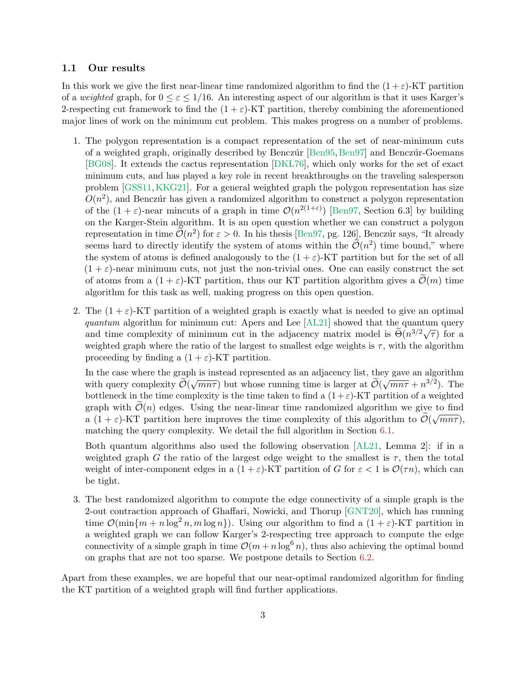## 1.1 Our results

In this work we give the first near-linear time randomized algorithm to find the  $(1 + \varepsilon)$ -KT partition of a weighted graph, for  $0 \leq \varepsilon \leq 1/16$ . An interesting aspect of our algorithm is that it uses Karger's 2-respecting cut framework to find the  $(1 + \varepsilon)$ -KT partition, thereby combining the aforementioned major lines of work on the minimum cut problem. This makes progress on a number of problems.

- 1. The polygon representation is a compact representation of the set of near-minimum cuts of a weighted graph, originally described by Benczúr [\[Ben95,](#page-26-3) [Ben97\]](#page-26-4) and Benczúr-Goemans [\[BG08\]](#page-26-5). It extends the cactus representation [\[DKL76\]](#page-26-6), which only works for the set of exact minimum cuts, and has played a key role in recent breakthroughs on the traveling salesperson problem [\[GSS11,](#page-27-8)[KKG21\]](#page-27-9). For a general weighted graph the polygon representation has size  $O(n^2)$ , and Benczúr has given a randomized algorithm to construct a polygon representation of the  $(1+\varepsilon)$ -near mincuts of a graph in time  $\mathcal{O}(n^{2(1+\varepsilon)})$  [\[Ben97,](#page-26-4) Section 6.3] by building on the Karger-Stein algorithm. It is an open question whether we can construct a polygon representation in time  $\widetilde{\mathcal{O}}(n^2)$  for  $\varepsilon > 0$ . In his thesis [\[Ben97,](#page-26-4) pg. 126], Benczúr says, "It already seems hard to directly identify the system of atoms within the  $\tilde{\mathcal{O}}(n^2)$  time bound," where the system of atoms is defined analogously to the  $(1 + \varepsilon)$ -KT partition but for the set of all  $(1 + \varepsilon)$ -near minimum cuts, not just the non-trivial ones. One can easily construct the set of atoms from a  $(1 + \varepsilon)$ -KT partition, thus our KT partition algorithm gives a  $\mathcal{O}(m)$  time algorithm for this task as well, making progress on this open question.
- 2. The  $(1 + \varepsilon)$ -KT partition of a weighted graph is exactly what is needed to give an optimal quantum algorithm for minimum cut: Apers and Lee [\[AL21\]](#page-26-7) showed that the quantum query quantum algorithm for minimum cut. Apers and Lee [ALL1] showed that the quantum query<br>and time complexity of minimum cut in the adjacency matrix model is  $\tilde{\Theta}(n^{3/2}\sqrt{\tau})$  for a weighted graph where the ratio of the largest to smallest edge weights is  $\tau$ , with the algorithm proceeding by finding a  $(1 + \varepsilon)$ -KT partition.

In the case where the graph is instead represented as an adjacency list, they gave an algorithm In the case where the graph is instead represented as an adjacency inst, they gave an algorithm<br>with query complexity  $\widetilde{\mathcal{O}}(\sqrt{mn\tau})$  but whose running time is larger at  $\widetilde{\mathcal{O}}(\sqrt{mn\tau}+n^{3/2})$ . The bottleneck in the time complexity is the time taken to find a  $(1+\varepsilon)$ -KT partition of a weighted graph with  $\mathcal{O}(n)$  edges. Using the near-linear time randomized algorithm we give to find a  $(1 + \varepsilon)$ -KT partition here improves the time complexity of this algorithm to  $\mathcal{O}(\sqrt{mn\tau})$ , matching the query complexity. We detail the full algorithm in Section [6.1.](#page-23-0)

Both quantum algorithms also used the following observation [\[AL21,](#page-26-7) Lemma 2]: if in a weighted graph G the ratio of the largest edge weight to the smallest is  $\tau$ , then the total weight of inter-component edges in a  $(1+\varepsilon)$ -KT partition of G for  $\varepsilon < 1$  is  $\mathcal{O}(\tau n)$ , which can be tight.

3. The best randomized algorithm to compute the edge connectivity of a simple graph is the 2-out contraction approach of Ghaffari, Nowicki, and Thorup [\[GNT20\]](#page-27-7), which has running time  $\mathcal{O}(\min\{m + n\log^2 n, m\log n\})$ . Using our algorithm to find a  $(1 + \varepsilon)$ -KT partition in a weighted graph we can follow Karger's 2-respecting tree approach to compute the edge connectivity of a simple graph in time  $\mathcal{O}(m + n \log^6 n)$ , thus also achieving the optimal bound on graphs that are not too sparse. We postpone details to Section [6.2.](#page-24-0)

Apart from these examples, we are hopeful that our near-optimal randomized algorithm for finding the KT partition of a weighted graph will find further applications.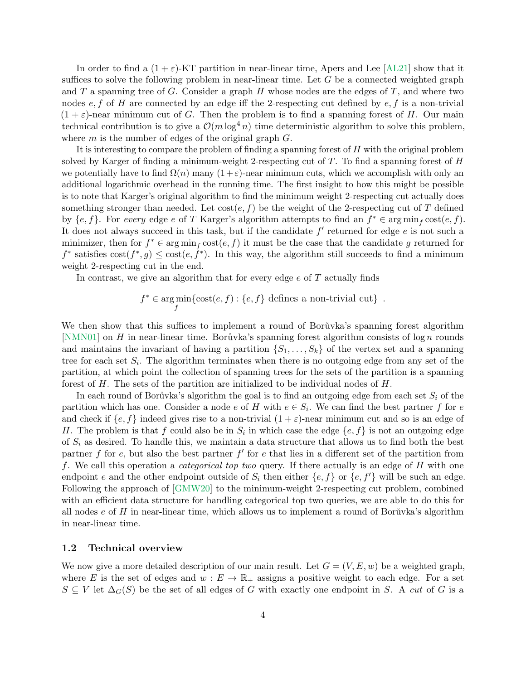In order to find a  $(1+\varepsilon)$ -KT partition in near-linear time, Apers and Lee [\[AL21\]](#page-26-7) show that it suffices to solve the following problem in near-linear time. Let  $G$  be a connected weighted graph and T a spanning tree of G. Consider a graph H whose nodes are the edges of T, and where two nodes  $e, f$  of H are connected by an edge iff the 2-respecting cut defined by  $e, f$  is a non-trivial  $(1 + \varepsilon)$ -near minimum cut of G. Then the problem is to find a spanning forest of H. Our main technical contribution is to give a  $\mathcal{O}(m \log^4 n)$  time deterministic algorithm to solve this problem, where  $m$  is the number of edges of the original graph  $G$ .

It is interesting to compare the problem of finding a spanning forest of H with the original problem solved by Karger of finding a minimum-weight 2-respecting cut of  $T$ . To find a spanning forest of  $H$ we potentially have to find  $\Omega(n)$  many  $(1+\varepsilon)$ -near minimum cuts, which we accomplish with only an additional logarithmic overhead in the running time. The first insight to how this might be possible is to note that Karger's original algorithm to find the minimum weight 2-respecting cut actually does something stronger than needed. Let  $cost(e, f)$  be the weight of the 2-respecting cut of T defined by  $\{e, f\}$ . For every edge e of T Karger's algorithm attempts to find an  $f^* \in \arg\min_f \text{cost}(e, f)$ . It does not always succeed in this task, but if the candidate  $f'$  returned for edge  $e$  is not such a minimizer, then for  $f^* \in \arg\min_f \text{cost}(e, f)$  it must be the case that the candidate g returned for  $f^*$  satisfies  $\text{cost}(f^*, g) \leq \text{cost}(e, \dot{f}^*)$ . In this way, the algorithm still succeeds to find a minimum weight 2-respecting cut in the end.

In contrast, we give an algorithm that for every edge  $e$  of  $T$  actually finds

 $f^* \in \arg \min$ f  $\{\text{cost}(e, f) : \{e, f\} \text{ defines a non-trivial cut}\}\.$ 

We then show that this suffices to implement a round of Borůvka's spanning forest algorithm [\[NMN01\]](#page-27-10) on H in near-linear time. Borůvka's spanning forest algorithm consists of  $\log n$  rounds and maintains the invariant of having a partition  $\{S_1, \ldots, S_k\}$  of the vertex set and a spanning tree for each set  $S_i$ . The algorithm terminates when there is no outgoing edge from any set of the partition, at which point the collection of spanning trees for the sets of the partition is a spanning forest of H. The sets of the partition are initialized to be individual nodes of H.

In each round of Borůvka's algorithm the goal is to find an outgoing edge from each set  $S_i$  of the partition which has one. Consider a node e of H with  $e \in S_i$ . We can find the best partner f for e and check if  $\{e, f\}$  indeed gives rise to a non-trivial  $(1 + \varepsilon)$ -near minimum cut and so is an edge of H. The problem is that f could also be in  $S_i$  in which case the edge  $\{e, f\}$  is not an outgoing edge of  $S_i$  as desired. To handle this, we maintain a data structure that allows us to find both the best partner f for e, but also the best partner  $f'$  for e that lies in a different set of the partition from f. We call this operation a *categorical top two* query. If there actually is an edge of  $H$  with one endpoint e and the other endpoint outside of  $S_i$  then either  $\{e, f\}$  or  $\{e, f'\}$  will be such an edge. Following the approach of [\[GMW20\]](#page-26-1) to the minimum-weight 2-respecting cut problem, combined with an efficient data structure for handling categorical top two queries, we are able to do this for all nodes  $e$  of  $H$  in near-linear time, which allows us to implement a round of Bor $\mathring{u}$  vka's algorithm in near-linear time.

### <span id="page-3-0"></span>1.2 Technical overview

We now give a more detailed description of our main result. Let  $G = (V, E, w)$  be a weighted graph, where E is the set of edges and  $w : E \to \mathbb{R}_+$  assigns a positive weight to each edge. For a set  $S \subseteq V$  let  $\Delta_G(S)$  be the set of all edges of G with exactly one endpoint in S. A cut of G is a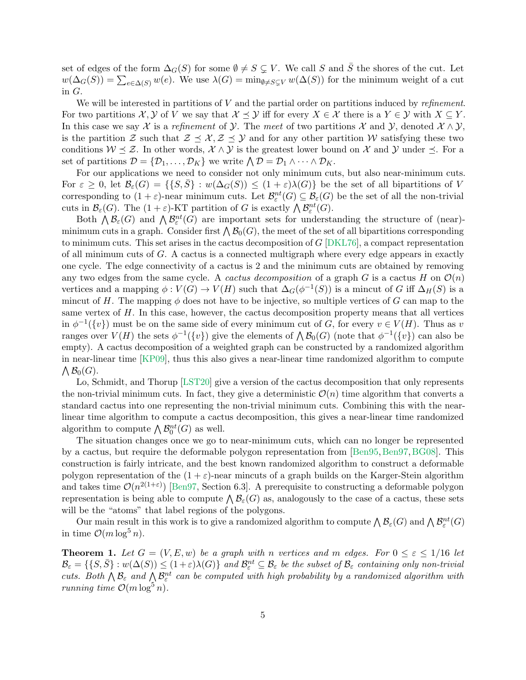set of edges of the form  $\Delta_G(S)$  for some  $\emptyset \neq S \subsetneq V$ . We call S and  $\overline{S}$  the shores of the cut. Let  $w(\Delta_G(S)) = \sum_{e \in \Delta(S)} w(e)$ . We use  $\lambda(G) = \min_{\emptyset \neq S \subsetneq V} w(\Delta(S))$  for the minimum weight of a cut in G.

We will be interested in partitions of  $V$  and the partial order on partitions induced by *refinement*. For two partitions  $\mathcal{X}, \mathcal{Y}$  of V we say that  $\mathcal{X} \preceq \mathcal{Y}$  iff for every  $X \in \mathcal{X}$  there is a  $Y \in \mathcal{Y}$  with  $X \subseteq Y$ . In this case we say X is a refinement of Y. The meet of two partitions X and Y, denoted  $\mathcal{X} \wedge \mathcal{Y}$ , is the partition Z such that  $\mathcal{Z} \preceq \mathcal{X}, \mathcal{Z} \preceq \mathcal{Y}$  and for any other partition W satisfying these two conditions  $W \leq \mathcal{Z}$ . In other words,  $\mathcal{X} \wedge \mathcal{Y}$  is the greatest lower bound on X and Y under  $\leq$ . For a set of partitions  $\mathcal{D} = \{D_1, \ldots, D_K\}$  we write  $\bigwedge \mathcal{D} = D_1 \wedge \cdots \wedge D_K$ .

For our applications we need to consider not only minimum cuts, but also near-minimum cuts. For  $\varepsilon \geq 0$ , let  $\mathcal{B}_{\varepsilon}(G) = \{ \{ S, \overline{S} \} : w(\Delta_G(S)) \leq (1+\varepsilon)\lambda(G) \}$  be the set of all bipartitions of V corresponding to  $(1+\varepsilon)$ -near minimum cuts. Let  $\mathcal{B}^{nt}_{\varepsilon}(G) \subseteq \mathcal{B}_{\varepsilon}(G)$  be the set of all the non-trivial cuts in  $\mathcal{B}_{\varepsilon}(G)$ . The  $(1+\varepsilon)$ -KT partition of G is exactly  $\bigwedge \mathcal{B}_{\varepsilon}^{nt}(G)$ .

Both  $\bigwedge \mathcal{B}_{\varepsilon}(G)$  and  $\bigwedge \mathcal{B}_{\varepsilon}^{nt}(G)$  are important sets for understanding the structure of (near)minimum cuts in a graph. Consider first  $\bigwedge \mathcal{B}_0(G)$ , the meet of the set of all bipartitions corresponding to minimum cuts. This set arises in the cactus decomposition of  $G$  [\[DKL76\]](#page-26-6), a compact representation of all minimum cuts of G. A cactus is a connected multigraph where every edge appears in exactly one cycle. The edge connectivity of a cactus is 2 and the minimum cuts are obtained by removing any two edges from the same cycle. A *cactus decomposition* of a graph G is a cactus H on  $\mathcal{O}(n)$ vertices and a mapping  $\phi: V(G) \to V(H)$  such that  $\Delta_G(\phi^{-1}(S))$  is a mincut of G iff  $\Delta_H(S)$  is a mincut of H. The mapping  $\phi$  does not have to be injective, so multiple vertices of G can map to the same vertex of  $H$ . In this case, however, the cactus decomposition property means that all vertices in  $\phi^{-1}(\{v\})$  must be on the same side of every minimum cut of G, for every  $v \in V(H)$ . Thus as v ranges over  $V(H)$  the sets  $\phi^{-1}(\{v\})$  give the elements of  $\bigwedge \mathcal{B}_0(G)$  (note that  $\phi^{-1}(\{v\})$  can also be empty). A cactus decomposition of a weighted graph can be constructed by a randomized algorithm in near-linear time [\[KP09\]](#page-27-11), thus this also gives a near-linear time randomized algorithm to compute  $\bigwedge \mathcal{B}_0(G)$ .

Lo, Schmidt, and Thorup [\[LST20\]](#page-27-6) give a version of the cactus decomposition that only represents the non-trivial minimum cuts. In fact, they give a deterministic  $\mathcal{O}(n)$  time algorithm that converts a standard cactus into one representing the non-trivial minimum cuts. Combining this with the nearlinear time algorithm to compute a cactus decomposition, this gives a near-linear time randomized algorithm to compute  $\bigwedge \mathcal{B}_0^{nt}(G)$  as well.

The situation changes once we go to near-minimum cuts, which can no longer be represented by a cactus, but require the deformable polygon representation from [\[Ben95,](#page-26-3) [Ben97,](#page-26-4) [BG08\]](#page-26-5). This construction is fairly intricate, and the best known randomized algorithm to construct a deformable polygon representation of the  $(1 + \varepsilon)$ -near mincuts of a graph builds on the Karger-Stein algorithm and takes time  $\mathcal{O}(n^{2(1+\varepsilon)})$  [\[Ben97,](#page-26-4) Section 6.3]. A prerequisite to constructing a deformable polygon representation is being able to compute  $\bigwedge \mathcal{B}_{\varepsilon}(G)$  as, analogously to the case of a cactus, these sets will be the "atoms" that label regions of the polygons.

Our main result in this work is to give a randomized algorithm to compute  $\bigwedge \mathcal{B}_\varepsilon(G)$  and  $\bigwedge \mathcal{B}^{nt}_\varepsilon(G)$ in time  $\mathcal{O}(m \log^5 n)$ .

<span id="page-4-0"></span>**Theorem 1.** Let  $G = (V, E, w)$  be a graph with n vertices and m edges. For  $0 \le \varepsilon \le 1/16$  let  $\mathcal{B}_\varepsilon = \{ \{ S, \bar{S} \} : w(\Delta(S)) \leq (1+\varepsilon) \lambda(G) \}$  and  $\mathcal{B}^{nt}_\varepsilon \subseteq \mathcal{B}_\varepsilon$  be the subset of  $\mathcal{B}_\varepsilon$  containing only non-trivial cuts. Both  $\bigwedge \mathcal{B}_{\varepsilon}$  and  $\bigwedge \mathcal{B}_{\varepsilon}^{nt}$  can be computed with high probability by a randomized algorithm with running time  $\mathcal{O}(m \log^5 n)$ .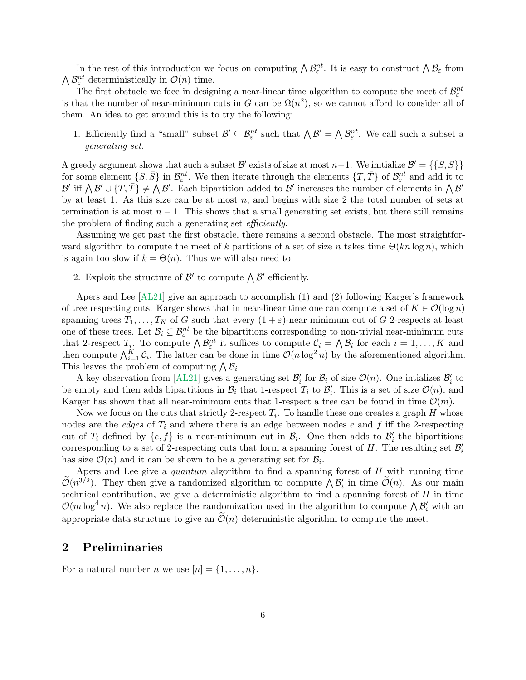In the rest of this introduction we focus on computing  $\bigwedge \mathcal{B}_{\varepsilon}^{nt}$ . It is easy to construct  $\bigwedge \mathcal{B}_{\varepsilon}$  from  $\bigwedge \mathcal{B}^{nt}_\varepsilon$  deterministically in  $\mathcal{O}(n)$  time.

The first obstacle we face in designing a near-linear time algorithm to compute the meet of  $\mathcal{B}^{nt}_{\varepsilon}$ is that the number of near-minimum cuts in G can be  $\Omega(n^2)$ , so we cannot afford to consider all of them. An idea to get around this is to try the following:

1. Efficiently find a "small" subset  $\mathcal{B}' \subseteq \mathcal{B}_{\varepsilon}^{nt}$  such that  $\bigwedge \mathcal{B}' = \bigwedge \mathcal{B}_{\varepsilon}^{nt}$ . We call such a subset a generating set.

A greedy argument shows that such a subset  $\mathcal{B}'$  exists of size at most  $n-1$ . We initialize  $\mathcal{B}' = \{\{S, \bar{S}\}\}\$ for some element  $\{S,\bar{S}\}\$ in  $\mathcal{B}_{\varepsilon}^{nt}$ . We then iterate through the elements  $\{T,\bar{T}\}$  of  $\mathcal{B}_{\varepsilon}^{nt}$  and add it to B' iff  $\bigwedge B' \cup \{T, \overline{T}\}\neq \bigwedge B'$ . Each bipartition added to B' increases the number of elements in  $\bigwedge B'$ by at least 1. As this size can be at most n, and begins with size 2 the total number of sets at termination is at most  $n - 1$ . This shows that a small generating set exists, but there still remains the problem of finding such a generating set *efficiently*.

Assuming we get past the first obstacle, there remains a second obstacle. The most straightforward algorithm to compute the meet of k partitions of a set of size n takes time  $\Theta(kn \log n)$ , which is again too slow if  $k = \Theta(n)$ . Thus we will also need to

2. Exploit the structure of  $\mathcal{B}'$  to compute  $\bigwedge \mathcal{B}'$  efficiently.

Apers and Lee [\[AL21\]](#page-26-7) give an approach to accomplish (1) and (2) following Karger's framework of tree respecting cuts. Karger shows that in near-linear time one can compute a set of  $K \in \mathcal{O}(\log n)$ spanning trees  $T_1, \ldots, T_K$  of G such that every  $(1 + \varepsilon)$ -near minimum cut of G 2-respects at least one of these trees. Let  $\mathcal{B}_i \subseteq \mathcal{B}^{nt}_{\varepsilon}$  be the bipartitions corresponding to non-trivial near-minimum cuts that 2-respect  $T_i$ . To compute  $\bigwedge \mathcal{B}_{\varepsilon}^{nt}$  it suffices to compute  $\mathcal{C}_i = \bigwedge \mathcal{B}_i$  for each  $i = 1, \ldots, K$  and then compute  $\bigwedge_{i=1}^K \mathcal{C}_i$ . The latter can be done in time  $\mathcal{O}(n \log^2 n)$  by the aforementioned algorithm. This leaves the problem of computing  $\bigwedge \mathcal{B}_i$ .

A key observation from [\[AL21\]](#page-26-7) gives a generating set  $\mathcal{B}'_i$  for  $\mathcal{B}_i$  of size  $\mathcal{O}(n)$ . One intializes  $\mathcal{B}'_i$  to be empty and then adds bipartitions in  $\mathcal{B}_i$  that 1-respect  $T_i$  to  $\mathcal{B}'_i$ . This is a set of size  $\mathcal{O}(n)$ , and Karger has shown that all near-minimum cuts that 1-respect a tree can be found in time  $\mathcal{O}(m)$ .

Now we focus on the cuts that strictly 2-respect  $T_i$ . To handle these one creates a graph H whose nodes are the *edges* of  $T_i$  and where there is an edge between nodes e and f iff the 2-respecting cut of  $T_i$  defined by  $\{e, f\}$  is a near-minimum cut in  $\mathcal{B}_i$ . One then adds to  $\mathcal{B}'_i$  the bipartitions corresponding to a set of 2-respecting cuts that form a spanning forest of H. The resulting set  $\mathcal{B}'_i$ has size  $\mathcal{O}(n)$  and it can be shown to be a generating set for  $\mathcal{B}_i$ .

Apers and Lee give a quantum algorithm to find a spanning forest of  $H$  with running time  $\widetilde{\mathcal{O}}(n^{3/2})$ . They then give a randomized algorithm to compute  $\bigwedge \mathcal{B}'_i$  in time  $\widetilde{\mathcal{O}}(n)$ . As our main technical contribution, we give a deterministic algorithm to find a spanning forest of  $H$  in time  $\mathcal{O}(m \log^4 n)$ . We also replace the randomization used in the algorithm to compute  $\bigwedge \mathcal{B}'_i$  with an appropriate data structure to give an  $\mathcal{O}(n)$  deterministic algorithm to compute the meet.

# 2 Preliminaries

For a natural number *n* we use  $[n] = \{1, \ldots, n\}.$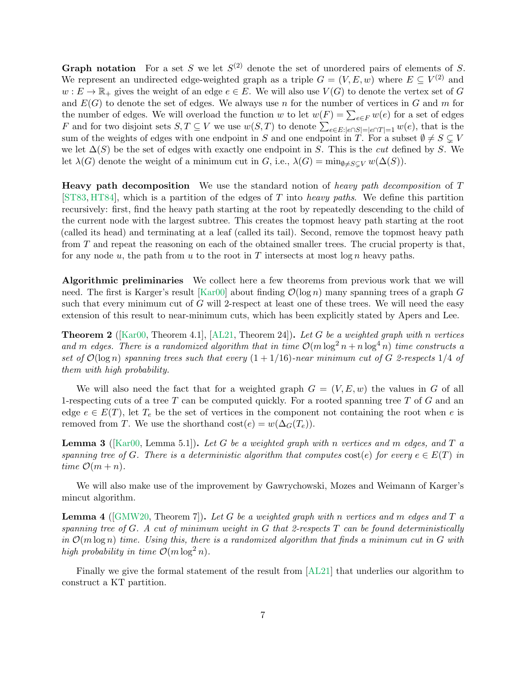**Graph notation** For a set S we let  $S^{(2)}$  denote the set of unordered pairs of elements of S. We represent an undirected edge-weighted graph as a triple  $G = (V, E, w)$  where  $E \subseteq V^{(2)}$  and  $w: E \to \mathbb{R}_+$  gives the weight of an edge  $e \in E$ . We will also use  $V(G)$  to denote the vertex set of G and  $E(G)$  to denote the set of edges. We always use n for the number of vertices in G and m for the number of edges. We will overload the function w to let  $w(F) = \sum_{e \in F} w(e)$  for a set of edges F and for two disjoint sets  $S, T \subseteq V$  we use  $w(S,T)$  to denote  $\sum_{e \in E:|e \cap S| = |e \cap T| = 1} w(e)$ , that is the sum of the weights of edges with one endpoint in S and one endpoint in T. For a subset  $\emptyset \neq S \subseteq V$ we let  $\Delta(S)$  be the set of edges with exactly one endpoint in S. This is the *cut* defined by S. We let  $\lambda(G)$  denote the weight of a minimum cut in G, i.e.,  $\lambda(G) = \min_{0 \neq S \subset V} w(\Delta(S)).$ 

**Heavy path decomposition** We use the standard notion of heavy path decomposition of T [\[ST83,](#page-27-12) [HT84\]](#page-27-13), which is a partition of the edges of T into heavy paths. We define this partition recursively: first, find the heavy path starting at the root by repeatedly descending to the child of the current node with the largest subtree. This creates the topmost heavy path starting at the root (called its head) and terminating at a leaf (called its tail). Second, remove the topmost heavy path from T and repeat the reasoning on each of the obtained smaller trees. The crucial property is that, for any node u, the path from u to the root in T intersects at most  $\log n$  heavy paths.

Algorithmic preliminaries We collect here a few theorems from previous work that we will need. The first is Karger's result [\[Kar00\]](#page-27-0) about finding  $\mathcal{O}(\log n)$  many spanning trees of a graph G such that every minimum cut of  $G$  will 2-respect at least one of these trees. We will need the easy extension of this result to near-minimum cuts, which has been explicitly stated by Apers and Lee.

<span id="page-6-1"></span>**Theorem 2** ([\[Kar00,](#page-27-0) Theorem 4.1], [\[AL21,](#page-26-7) Theorem 24]). Let G be a weighted graph with n vertices and m edges. There is a randomized algorithm that in time  $\mathcal{O}(m \log^2 n + n \log^4 n)$  time constructs a set of  $\mathcal{O}(\log n)$  spanning trees such that every  $(1 + 1/16)$ -near minimum cut of G 2-respects 1/4 of them with high probability.

We will also need the fact that for a weighted graph  $G = (V, E, w)$  the values in G of all 1-respecting cuts of a tree  $T$  can be computed quickly. For a rooted spanning tree  $T$  of  $G$  and an edge  $e \in E(T)$ , let  $T_e$  be the set of vertices in the component not containing the root when e is removed from T. We use the shorthand  $cost(e) = w(\Delta_G(T_e)).$ 

<span id="page-6-0"></span>**Lemma 3** ([\[Kar00,](#page-27-0) Lemma 5.1]). Let G be a weighted graph with n vertices and m edges, and T a spanning tree of G. There is a deterministic algorithm that computes cost(e) for every  $e \in E(T)$  in time  $\mathcal{O}(m+n)$ .

We will also make use of the improvement by Gawrychowski, Mozes and Weimann of Karger's mincut algorithm.

<span id="page-6-2"></span>**Lemma 4** ( $\text{GMW20}$ , Theorem 7). Let G be a weighted graph with n vertices and m edges and T a spanning tree of G. A cut of minimum weight in G that 2-respects  $T$  can be found deterministically in  $\mathcal{O}(m \log n)$  time. Using this, there is a randomized algorithm that finds a minimum cut in G with high probability in time  $\mathcal{O}(m \log^2 n)$ .

<span id="page-6-3"></span>Finally we give the formal statement of the result from [\[AL21\]](#page-26-7) that underlies our algorithm to construct a KT partition.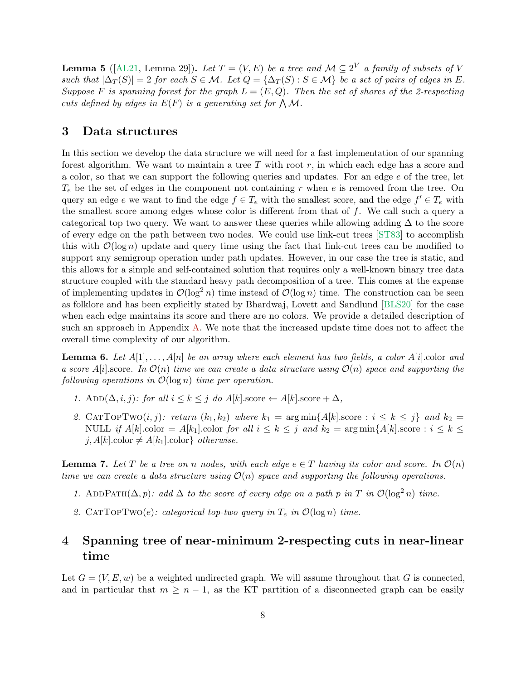**Lemma 5** ([\[AL21,](#page-26-7) Lemma 29]). Let  $T = (V, E)$  be a tree and  $\mathcal{M} \subseteq 2^V$  a family of subsets of V such that  $|\Delta_T(S)| = 2$  for each  $S \in \mathcal{M}$ . Let  $Q = {\Delta_T(S) : S \in \mathcal{M}}$  be a set of pairs of edges in E. Suppose F is spanning forest for the graph  $L = (E, Q)$ . Then the set of shores of the 2-respecting cuts defined by edges in  $E(F)$  is a generating set for  $\bigwedge \mathcal{M}$ .

## 3 Data structures

In this section we develop the data structure we will need for a fast implementation of our spanning forest algorithm. We want to maintain a tree  $T$  with root  $r$ , in which each edge has a score and a color, so that we can support the following queries and updates. For an edge e of the tree, let  $T_e$  be the set of edges in the component not containing r when e is removed from the tree. On query an edge e we want to find the edge  $f \in T_e$  with the smallest score, and the edge  $f' \in T_e$  with the smallest score among edges whose color is different from that of f. We call such a query a categorical top two query. We want to answer these queries while allowing adding  $\Delta$  to the score of every edge on the path between two nodes. We could use link-cut trees [\[ST83\]](#page-27-12) to accomplish this with  $\mathcal{O}(\log n)$  update and query time using the fact that link-cut trees can be modified to support any semigroup operation under path updates. However, in our case the tree is static, and this allows for a simple and self-contained solution that requires only a well-known binary tree data structure coupled with the standard heavy path decomposition of a tree. This comes at the expense of implementing updates in  $\mathcal{O}(\log^2 n)$  time instead of  $\mathcal{O}(\log n)$  time. The construction can be seen as folklore and has been explicitly stated by Bhardwaj, Lovett and Sandlund [\[BLS20\]](#page-26-8) for the case when each edge maintains its score and there are no colors. We provide a detailed description of such an approach in Appendix [A.](#page-28-0) We note that the increased update time does not to affect the overall time complexity of our algorithm.

<span id="page-7-1"></span>**Lemma 6.** Let  $A[1], \ldots, A[n]$  be an array where each element has two fields, a color  $A[i]$  color and a score A[i].score. In  $\mathcal{O}(n)$  time we can create a data structure using  $\mathcal{O}(n)$  space and supporting the following operations in  $\mathcal{O}(\log n)$  time per operation.

- 1. Add( $\Delta, i, j$ ): for all  $i \leq k \leq j$  do  $A[k]$ .score  $\leftarrow A[k]$ .score  $+ \Delta$ ,
- 2. CATTOPTWO $(i, j)$ : return  $(k_1, k_2)$  where  $k_1 = \arg \min \{A[k] \text{ score} : i \leq k \leq j\}$  and  $k_2 =$ NULL if  $A[k]$ .color =  $A[k]$ .color for all  $i \leq k \leq j$  and  $k_2 = \arg \min \{A[k]$ .score :  $i \leq k \leq j$ j,  $A[k]$ .color  $\neq A[k_1]$ .color} *otherwise.*

<span id="page-7-0"></span>**Lemma 7.** Let T be a tree on n nodes, with each edge  $e \in T$  having its color and score. In  $\mathcal{O}(n)$ time we can create a data structure using  $\mathcal{O}(n)$  space and supporting the following operations.

- 1. ADDPATH( $\Delta$ , p): add  $\Delta$  to the score of every edge on a path p in T in  $\mathcal{O}(\log^2 n)$  time.
- 2. CATTOPTWO(e): categorical top-two query in  $T_e$  in  $\mathcal{O}(\log n)$  time.

# 4 Spanning tree of near-minimum 2-respecting cuts in near-linear time

Let  $G = (V, E, w)$  be a weighted undirected graph. We will assume throughout that G is connected, and in particular that  $m \geq n-1$ , as the KT partition of a disconnected graph can be easily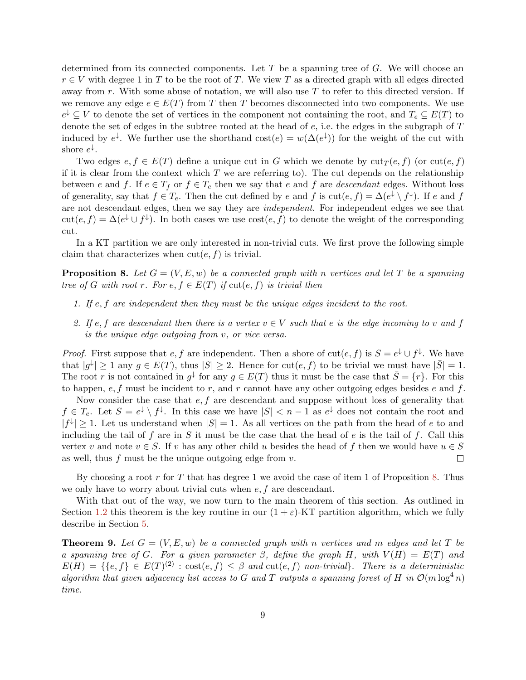determined from its connected components. Let  $T$  be a spanning tree of  $G$ . We will choose an  $r \in V$  with degree 1 in T to be the root of T. We view T as a directed graph with all edges directed away from r. With some abuse of notation, we will also use  $T$  to refer to this directed version. If we remove any edge  $e \in E(T)$  from T then T becomes disconnected into two components. We use  $e^{\downarrow} \subseteq V$  to denote the set of vertices in the component not containing the root, and  $T_e \subseteq E(T)$  to denote the set of edges in the subtree rooted at the head of  $e$ , i.e. the edges in the subgraph of  $T$ induced by  $e^{\downarrow}$ . We further use the shorthand  $\text{cost}(e) = w(\Delta(e^{\downarrow}))$  for the weight of the cut with shore  $e^{\downarrow}$ .

Two edges  $e, f \in E(T)$  define a unique cut in G which we denote by  $\text{cut}_{T}(e, f)$  (or  $\text{cut}(e, f)$ ) if it is clear from the context which  $T$  we are referring to). The cut depends on the relationship between e and f. If  $e \in T_f$  or  $f \in T_e$  then we say that e and f are descendant edges. Without loss of generality, say that  $f \in T_e$ . Then the cut defined by e and f is  $\text{cut}(e, f) = \Delta(e^{\downarrow} \setminus f^{\downarrow})$ . If e and f are not descendant edges, then we say they are independent. For independent edges we see that  $\text{cut}(e, f) = \Delta(e^{\downarrow} \cup f^{\downarrow})$ . In both cases we use  $\text{cost}(e, f)$  to denote the weight of the corresponding cut.

In a KT partition we are only interested in non-trivial cuts. We first prove the following simple claim that characterizes when  $cut(e, f)$  is trivial.

<span id="page-8-0"></span>**Proposition 8.** Let  $G = (V, E, w)$  be a connected graph with n vertices and let T be a spanning tree of G with root r. For  $e, f \in E(T)$  if  $cut(e, f)$  is trivial then

- 1. If  $e, f$  are independent then they must be the unique edges incident to the root.
- 2. If e, f are descendant then there is a vertex  $v \in V$  such that e is the edge incoming to v and f is the unique edge outgoing from v, or vice versa.

*Proof.* First suppose that  $e, f$  are independent. Then a shore of  $cut(e, f)$  is  $S = e^{\downarrow} \cup f^{\downarrow}$ . We have that  $|g^{\downarrow}| \geq 1$  any  $g \in E(T)$ , thus  $|S| \geq 2$ . Hence for cut $(e, f)$  to be trivial we must have  $|\bar{S}| = 1$ . The root r is not contained in  $g^{\downarrow}$  for any  $g \in E(T)$  thus it must be the case that  $\overline{S} = \{r\}$ . For this to happen,  $e, f$  must be incident to r, and r cannot have any other outgoing edges besides e and f.

Now consider the case that  $e, f$  are descendant and suppose without loss of generality that  $f \in T_e$ . Let  $S = e^{\downarrow} \setminus f^{\downarrow}$ . In this case we have  $|S| < n-1$  as  $e^{\downarrow}$  does not contain the root and  $|f^{\downarrow}| \geq 1$ . Let us understand when  $|S| = 1$ . As all vertices on the path from the head of e to and including the tail of f are in S it must be the case that the head of  $e$  is the tail of f. Call this vertex v and note  $v \in S$ . If v has any other child u besides the head of f then we would have  $u \in S$ as well, thus f must be the unique outgoing edge from  $v$ .  $\Box$ 

By choosing a root r for T that has degree 1 we avoid the case of item 1 of Proposition [8.](#page-8-0) Thus we only have to worry about trivial cuts when  $e, f$  are descendant.

With that out of the way, we now turn to the main theorem of this section. As outlined in Section [1.2](#page-3-0) this theorem is the key routine in our  $(1 + \varepsilon)$ -KT partition algorithm, which we fully describe in Section [5.](#page-20-0)

<span id="page-8-1"></span>**Theorem 9.** Let  $G = (V, E, w)$  be a connected graph with n vertices and m edges and let T be a spanning tree of G. For a given parameter  $\beta$ , define the graph H, with  $V(H) = E(T)$  and  $E(H) = \{ \{e, f\} \in E(T)^{(2)} : \text{cost}(e, f) \leq \beta \text{ and cut}(e, f) \text{ non-trivial} \}.$  There is a deterministic algorithm that given adjacency list access to G and T outputs a spanning forest of H in  $\mathcal{O}(m \log^4 n)$ time.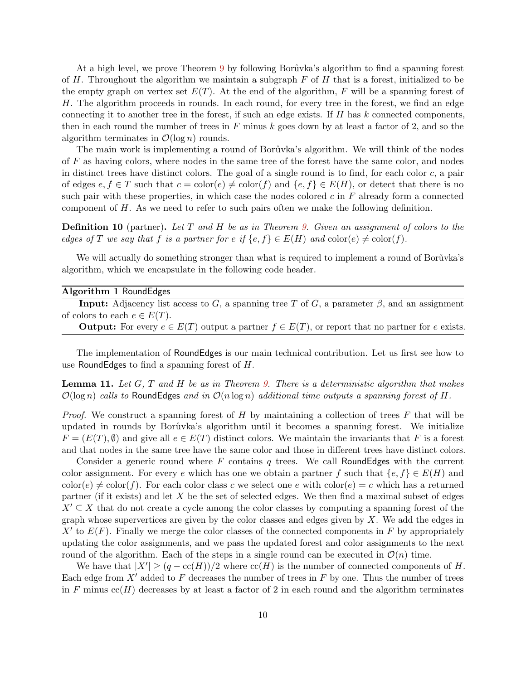At a high level, we prove Theorem [9](#page-8-1) by following Borůvka's algorithm to find a spanning forest of  $H$ . Throughout the algorithm we maintain a subgraph  $F$  of  $H$  that is a forest, initialized to be the empty graph on vertex set  $E(T)$ . At the end of the algorithm, F will be a spanning forest of H. The algorithm proceeds in rounds. In each round, for every tree in the forest, we find an edge connecting it to another tree in the forest, if such an edge exists. If  $H$  has  $k$  connected components, then in each round the number of trees in  $F$  minus  $k$  goes down by at least a factor of 2, and so the algorithm terminates in  $\mathcal{O}(\log n)$  rounds.

The main work is implementing a round of Borůvka's algorithm. We will think of the nodes of F as having colors, where nodes in the same tree of the forest have the same color, and nodes in distinct trees have distinct colors. The goal of a single round is to find, for each color  $c$ , a pair of edges  $e, f \in T$  such that  $c = \text{color}(e) \neq \text{color}(f)$  and  $\{e, f\} \in E(H)$ , or detect that there is no such pair with these properties, in which case the nodes colored  $c$  in  $F$  already form a connected component of  $H$ . As we need to refer to such pairs often we make the following definition.

**Definition 10** (partner). Let T and H be as in Theorem [9.](#page-8-1) Given an assignment of colors to the edges of T we say that f is a partner for e if  $\{e, f\} \in E(H)$  and  $\text{color}(e) \neq \text{color}(f)$ .

We will actually do something stronger than what is required to implement a round of Borůvka's algorithm, which we encapsulate in the following code header.

#### Algorithm 1 RoundEdges

| <b>Input:</b> Adjacency list access to G, a spanning tree T of G, a parameter $\beta$ , and an assignment |  |  |
|-----------------------------------------------------------------------------------------------------------|--|--|
| of colors to each $e \in E(T)$ .                                                                          |  |  |
|                                                                                                           |  |  |

**Output:** For every  $e \in E(T)$  output a partner  $f \in E(T)$ , or report that no partner for e exists.

The implementation of RoundEdges is our main technical contribution. Let us first see how to use RoundEdges to find a spanning forest of H.

<span id="page-9-0"></span>**Lemma 11.** Let  $G$ ,  $T$  and  $H$  be as in Theorem  $9$ . There is a deterministic algorithm that makes  $\mathcal{O}(\log n)$  calls to RoundEdges and in  $\mathcal{O}(n \log n)$  additional time outputs a spanning forest of H.

*Proof.* We construct a spanning forest of  $H$  by maintaining a collection of trees  $F$  that will be updated in rounds by Borůvka's algorithm until it becomes a spanning forest. We initialize  $F = (E(T), \emptyset)$  and give all  $e \in E(T)$  distinct colors. We maintain the invariants that F is a forest and that nodes in the same tree have the same color and those in different trees have distinct colors.

Consider a generic round where F contains q trees. We call RoundEdges with the current color assignment. For every e which has one we obtain a partner f such that  $\{e, f\} \in E(H)$  and  $\text{color}(e) \neq \text{color}(f)$ . For each color class c we select one e with  $\text{color}(e) = c$  which has a returned partner (if it exists) and let  $X$  be the set of selected edges. We then find a maximal subset of edges  $X' \subseteq X$  that do not create a cycle among the color classes by computing a spanning forest of the graph whose supervertices are given by the color classes and edges given by  $X$ . We add the edges in  $X'$  to  $E(F)$ . Finally we merge the color classes of the connected components in F by appropriately updating the color assignments, and we pass the updated forest and color assignments to the next round of the algorithm. Each of the steps in a single round can be executed in  $\mathcal{O}(n)$  time.

We have that  $|X'| \geq (q - \text{cc}(H))/2$  where  $\text{cc}(H)$  is the number of connected components of H. Each edge from  $X'$  added to F decreases the number of trees in F by one. Thus the number of trees in F minus  $cc(H)$  decreases by at least a factor of 2 in each round and the algorithm terminates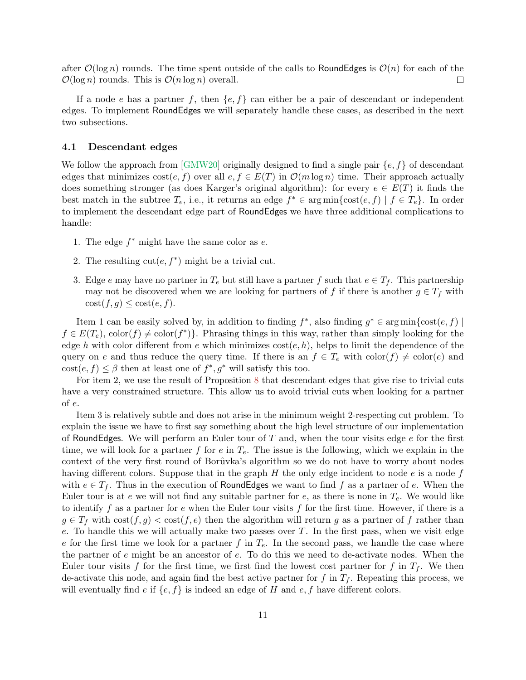after  $\mathcal{O}(\log n)$  rounds. The time spent outside of the calls to RoundEdges is  $\mathcal{O}(n)$  for each of the  $\mathcal{O}(\log n)$  rounds. This is  $\mathcal{O}(n \log n)$  overall.  $\Box$ 

If a node e has a partner f, then  $\{e, f\}$  can either be a pair of descendant or independent edges. To implement RoundEdges we will separately handle these cases, as described in the next two subsections.

### 4.1 Descendant edges

We follow the approach from  $\lbrack \text{GMW20} \rbrack$  originally designed to find a single pair  $\{e, f\}$  of descendant edges that minimizes  $\text{cost}(e, f)$  over all  $e, f \in E(T)$  in  $\mathcal{O}(m \log n)$  time. Their approach actually does something stronger (as does Karger's original algorithm): for every  $e \in E(T)$  it finds the best match in the subtree  $T_e$ , i.e., it returns an edge  $f^* \in \arg\min\{\text{cost}(e, f) \mid f \in T_e\}$ . In order to implement the descendant edge part of RoundEdges we have three additional complications to handle:

- 1. The edge  $f^*$  might have the same color as  $e$ .
- 2. The resulting  $cut(e, f^*)$  might be a trivial cut.
- 3. Edge e may have no partner in  $T_e$  but still have a partner f such that  $e \in T_f$ . This partnership may not be discovered when we are looking for partners of f if there is another  $g \in T_f$  with  $\cot(f, g) \leq \cot(e, f).$

Item 1 can be easily solved by, in addition to finding  $f^*$ , also finding  $g^* \in \arg \min \{ \text{cost}(e, f) \mid$  $f \in E(T_e)$ , color(f)  $\neq$  color(f<sup>\*</sup>)}. Phrasing things in this way, rather than simply looking for the edge h with color different from e which minimizes  $cost(e, h)$ , helps to limit the dependence of the query on e and thus reduce the query time. If there is an  $f \in T_e$  with  $\text{color}(f) \neq \text{color}(e)$  and  $\text{cost}(e, f) \leq \beta$  then at least one of  $f^*, g^*$  will satisfy this too.

For item 2, we use the result of Proposition [8](#page-8-0) that descendant edges that give rise to trivial cuts have a very constrained structure. This allow us to avoid trivial cuts when looking for a partner of e.

Item 3 is relatively subtle and does not arise in the minimum weight 2-respecting cut problem. To explain the issue we have to first say something about the high level structure of our implementation of RoundEdges. We will perform an Euler tour of  $T$  and, when the tour visits edge  $e$  for the first time, we will look for a partner f for e in  $T_e$ . The issue is the following, which we explain in the context of the very first round of Bor $\hat{u}$ vka's algorithm so we do not have to worry about nodes having different colors. Suppose that in the graph  $H$  the only edge incident to node  $e$  is a node  $f$ with  $e \in T_f$ . Thus in the execution of RoundEdges we want to find f as a partner of e. When the Euler tour is at e we will not find any suitable partner for e, as there is none in  $T_e$ . We would like to identify f as a partner for e when the Euler tour visits f for the first time. However, if there is a  $g \in T_f$  with  $\cos(f, g) < \cos(f, e)$  then the algorithm will return g as a partner of f rather than  $e$ . To handle this we will actually make two passes over  $T$ . In the first pass, when we visit edge e for the first time we look for a partner f in  $T_e$ . In the second pass, we handle the case where the partner of  $e$  might be an ancestor of  $e$ . To do this we need to de-activate nodes. When the Euler tour visits f for the first time, we first find the lowest cost partner for f in  $T_f$ . We then de-activate this node, and again find the best active partner for f in  $T_f$ . Repeating this process, we will eventually find e if  $\{e, f\}$  is indeed an edge of H and e, f have different colors.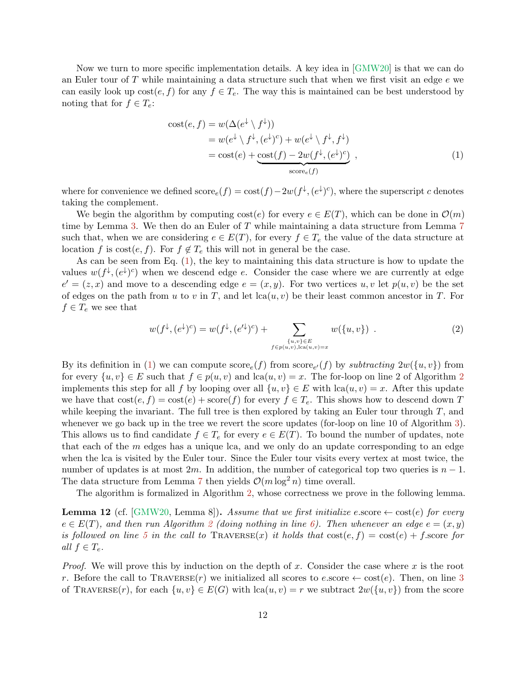Now we turn to more specific implementation details. A key idea in [\[GMW20\]](#page-26-1) is that we can do an Euler tour of  $T$  while maintaining a data structure such that when we first visit an edge  $e$  we can easily look up  $cost(e, f)$  for any  $f \in T_e$ . The way this is maintained can be best understood by noting that for  $f \in T_e$ :

<span id="page-11-0"></span>
$$
\begin{aligned} \text{cost}(e, f) &= w(\Delta(e^{\downarrow} \setminus f^{\downarrow})) \\ &= w(e^{\downarrow} \setminus f^{\downarrow}, (e^{\downarrow})^c) + w(e^{\downarrow} \setminus f^{\downarrow}, f^{\downarrow}) \\ &= \text{cost}(e) + \underbrace{\text{cost}(f) - 2w(f^{\downarrow}, (e^{\downarrow})^c)}_{\text{score}_e(f)} \,, \end{aligned} \tag{1}
$$

where for convenience we defined  $score_e(f) = cost(f) - 2w(f^{\downarrow}, (e^{\downarrow})^c)$ , where the superscript c denotes taking the complement.

We begin the algorithm by computing  $\text{cost}(e)$  for every  $e \in E(T)$ , which can be done in  $\mathcal{O}(m)$ time by Lemma [3.](#page-6-0) We then do an Euler of T while maintaining a data structure from Lemma [7](#page-7-0) such that, when we are considering  $e \in E(T)$ , for every  $f \in T_e$  the value of the data structure at location f is cost $(e, f)$ . For  $f \notin T_e$  this will not in general be the case.

As can be seen from Eq. [\(1\)](#page-11-0), the key to maintaining this data structure is how to update the values  $w(f^{\downarrow}, (e^{\downarrow})^c)$  when we descend edge e. Consider the case where we are currently at edge  $e' = (z, x)$  and move to a descending edge  $e = (x, y)$ . For two vertices  $u, v$  let  $p(u, v)$  be the set of edges on the path from u to v in T, and let  $lca(u, v)$  be their least common ancestor in T. For  $f \in T_e$  we see that

$$
w(f^{\downarrow}, (e^{\downarrow})^c) = w(f^{\downarrow}, (e^{\prime \downarrow})^c) + \sum_{\substack{\{u,v\} \in E \\ f \in p(u,v), \text{lca}(u,v) = x}} w(\{u,v\}) . \tag{2}
$$

By its definition in [\(1\)](#page-11-0) we can compute  $\text{score}_e(f)$  from  $\text{score}_{e'}(f)$  by subtracting  $2w(\lbrace u, v \rbrace)$  from for every  $\{u, v\} \in E$  such that  $f \in p(u, v)$  and  $lca(u, v) = x$ . The for-loop on line [2](#page-13-0) of Algorithm 2 implements this step for all f by looping over all  $\{u, v\} \in E$  with  $lca(u, v) = x$ . After this update we have that  $\text{cost}(e, f) = \text{cost}(e) + \text{score}(f)$  for every  $f \in T_e$ . This shows how to descend down T while keeping the invariant. The full tree is then explored by taking an Euler tour through  $T$ , and whenever we go back up in the tree we revert the score updates (for-loop on line 10 of Algorithm [3\)](#page-14-0). This allows us to find candidate  $f \in T_e$  for every  $e \in E(T)$ . To bound the number of updates, note that each of the  $m$  edges has a unique lca, and we only do an update corresponding to an edge when the lca is visited by the Euler tour. Since the Euler tour visits every vertex at most twice, the number of updates is at most 2m. In addition, the number of categorical top two queries is  $n-1$ . The data structure from Lemma [7](#page-7-0) then yields  $\mathcal{O}(m \log^2 n)$  time overall.

The algorithm is formalized in Algorithm [2,](#page-13-0) whose correctness we prove in the following lemma.

<span id="page-11-1"></span>**Lemma 12** (cf. [\[GMW20,](#page-26-1) Lemma 8]). Assume that we first initialize e.score  $\leftarrow$  cost(e) for every  $e \in E(T)$ , and then run Algorithm [2](#page-13-0) (doing nothing in line [6\)](#page-13-0). Then whenever an edge  $e = (x, y)$ is followed on line [5](#page-13-0) in the call to  $\text{TRAVERSE}(x)$  it holds that  $\text{cost}(e, f) = \text{cost}(e) + f.\text{score}$  for all  $f \in T_e$ .

*Proof.* We will prove this by induction on the depth of x. Consider the case where x is the root r. Before the call to TRAVERSE(r) we initialized all scores to e.score  $\leftarrow \text{cost}(e)$ . Then, on line [3](#page-13-0) of TRAVERSE(r), for each  $\{u, v\} \in E(G)$  with  $lca(u, v) = r$  we subtract  $2w(\{u, v\})$  from the score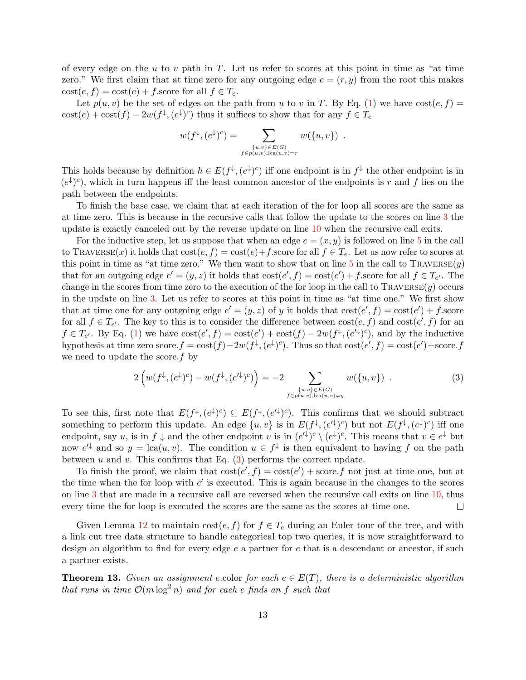of every edge on the u to v path in  $T$ . Let us refer to scores at this point in time as "at time zero." We first claim that at time zero for any outgoing edge  $e = (r, y)$  from the root this makes  $\text{cost}(e, f) = \text{cost}(e) + f$  score for all  $f \in T_e$ .

Let  $p(u, v)$  be the set of edges on the path from u to v in T. By Eq. [\(1\)](#page-11-0) we have cost $(e, f)$  $\text{cost}(e) + \text{cost}(f) - 2w(f^{\downarrow}, (e^{\downarrow})^c)$  thus it suffices to show that for any  $f \in T_e$ 

$$
w(f^{\downarrow}, (e^{\downarrow})^c) = \sum_{\substack{\{u,v\} \in E(G) \\ f \in p(u,v), \text{lca}(u,v) = r}} w(\{u, v\}) .
$$

This holds because by definition  $h \in E(f^{\downarrow}, (e^{\downarrow})^c)$  iff one endpoint is in  $f^{\downarrow}$  the other endpoint is in  $(e^{\downarrow})^c$ , which in turn happens iff the least common ancestor of the endpoints is r and f lies on the path between the endpoints.

To finish the base case, we claim that at each iteration of the for loop all scores are the same as at time zero. This is because in the recursive calls that follow the update to the scores on line [3](#page-13-0) the update is exactly canceled out by the reverse update on line [10](#page-13-0) when the recursive call exits.

For the inductive step, let us suppose that when an edge  $e = (x, y)$  is followed on line [5](#page-13-0) in the call to TRAVERSE(x) it holds that  $\text{cost}(e, f) = \text{cost}(e) + f$ . Score for all  $f \in T_e$ . Let us now refer to scores at this point in time as "at time zero." We then want to show that on line  $5$  in the call to TRAVERSE $(y)$ that for an outgoing edge  $e' = (y, z)$  it holds that  $cost(e', f) = cost(e') + f$  score for all  $f \in T_{e'}$ . The change in the scores from time zero to the execution of the for loop in the call to  $\text{TrAVERSE}(y)$  occurs in the update on line [3.](#page-13-0) Let us refer to scores at this point in time as "at time one." We first show that at time one for any outgoing edge  $e' = (y, z)$  of y it holds that  $cost(e', f) = cost(e') + fscore$ for all  $f \in T_{e'}$ . The key to this is to consider the difference between  $\text{cost}(e, f)$  and  $\text{cost}(e', f)$  for an  $f \in T_{e'}$ . By Eq. [\(1\)](#page-11-0) we have  $\cos(t) = \cos(t) + \cos(t) - 2w(f^{\downarrow}, (e^{\prime \downarrow})^c)$ , and by the inductive hypothesis at time zero score. $f = \text{cost}(f) - 2w(f^{\downarrow}, (e^{\downarrow})^c)$ . Thus so that  $\text{cost}(e', f) = \text{cost}(e') + \text{score}.f$ we need to update the score.  $f$  by

<span id="page-12-0"></span>
$$
2\left(w(f^{\downarrow},(e^{\downarrow})^c) - w(f^{\downarrow},(e'^{\downarrow})^c)\right) = -2 \sum_{\substack{\{u,v\} \in E(G) \\ f \in p(u,v), \text{lca}(u,v) = y}} w(\{u,v\}) . \tag{3}
$$

To see this, first note that  $E(f^{\downarrow}, (e^{\downarrow})^c) \subseteq E(f^{\downarrow}, (e^{\prime\downarrow})^c)$ . This confirms that we should subtract something to perform this update. An edge  $\{u, v\}$  is in  $E(f^{\downarrow}, (e^{\prime \downarrow})^c)$  but not  $E(f^{\downarrow}, (e^{\downarrow})^c)$  iff one endpoint, say u, is in  $f \downarrow$  and the other endpoint v is in  $(e^{t})^c \setminus (e^{\downarrow})^c$ . This means that  $v \in e^{\downarrow}$  but now  $e^{t}$  and so  $y = \text{lca}(u, v)$ . The condition  $u \in f^{\downarrow}$  is then equivalent to having f on the path between  $u$  and  $v$ . This confirms that Eq. [\(3\)](#page-12-0) performs the correct update.

To finish the proof, we claim that  $cost(e', f) = cost(e') + score.f$  not just at time one, but at the time when the for loop with  $e'$  is executed. This is again because in the changes to the scores on line [3](#page-13-0) that are made in a recursive call are reversed when the recursive call exits on line [10,](#page-13-0) thus  $\Box$ every time the for loop is executed the scores are the same as the scores at time one.

Given Lemma [12](#page-11-1) to maintain  $\text{cost}(e, f)$  for  $f \in T_e$  during an Euler tour of the tree, and with a link cut tree data structure to handle categorical top two queries, it is now straightforward to design an algorithm to find for every edge e a partner for e that is a descendant or ancestor, if such a partner exists.

<span id="page-12-1"></span>**Theorem 13.** Given an assignment e.color for each  $e \in E(T)$ , there is a deterministic algorithm that runs in time  $\mathcal{O}(m \log^2 n)$  and for each e finds an f such that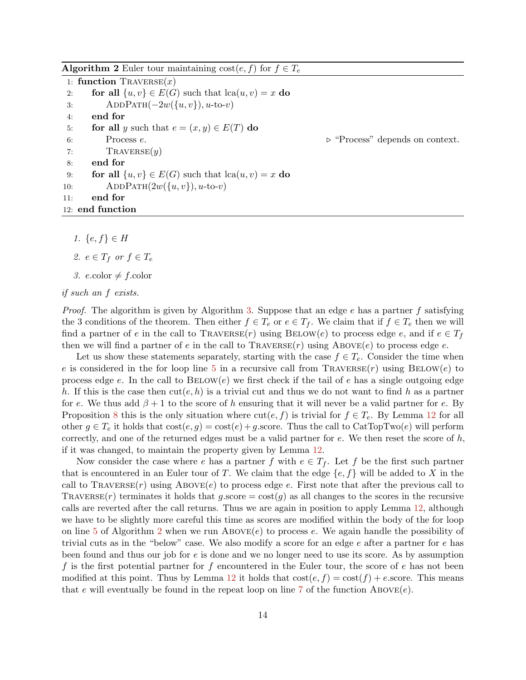<span id="page-13-0"></span>**Algorithm 2** Euler tour maintaining  $cost(e, f)$  for  $f \in T_e$ 1: function  $\text{TrAVERSE}(x)$ 2: for all  $\{u, v\} \in E(G)$  such that  $lca(u, v) = x$  do 3:  $ADDPATH(-2w({u, v}), u\text{-to-}v)$ 4: end for 5: for all y such that  $e = (x, y) \in E(T)$  do 6: Process  $e$ .  $\triangleright$  "Process" depends on context. 7: TRAVERSE $(y)$ 8: end for 9: **for all**  $\{u, v\} \in E(G)$  such that  $lca(u, v) = x$  do 10: ADDPATH $(2w({u,v}), u$ -to-v) 11: end for 12: end function

1.  ${e, f}$  ∈ H

2. 
$$
e \in T_f
$$
 or  $f \in T_e$ 

3. e.color  $\neq f$ .color

```
if such an f exists.
```
*Proof.* The algorithm is given by Algorithm [3.](#page-14-0) Suppose that an edge  $e$  has a partner  $f$  satisfying the 3 conditions of the theorem. Then either  $f \in T_e$  or  $e \in T_f$ . We claim that if  $f \in T_e$  then we will find a partner of e in the call to TRAVERSE $(r)$  using BELOW $(e)$  to process edge e, and if  $e \in T_f$ then we will find a partner of e in the call to  $\text{TAIVERSE}(r)$  using  $\text{ABOVE}(e)$  to process edge e.

Let us show these statements separately, starting with the case  $f \in T_e$ . Consider the time when e is considered in the for loop line [5](#page-13-0) in a recursive call from  $\text{TraversE}(r)$  using  $\text{BELOW}(e)$  to process edge e. In the call to  $BEDW(e)$  we first check if the tail of e has a single outgoing edge h. If this is the case then  $\text{cut}(e, h)$  is a trivial cut and thus we do not want to find h as a partner for e. We thus add  $\beta + 1$  to the score of h ensuring that it will never be a valid partner for e. By Proposition [8](#page-8-0) this is the only situation where  $\text{cut}(e, f)$  is trivial for  $f \in T_e$ . By Lemma [12](#page-11-1) for all other  $g \in T_e$  it holds that  $cost(e, g) = cost(e) + g$  score. Thus the call to CatTopTwo(e) will perform correctly, and one of the returned edges must be a valid partner for  $e$ . We then reset the score of  $h$ , if it was changed, to maintain the property given by Lemma [12.](#page-11-1)

Now consider the case where e has a partner f with  $e \in T_f$ . Let f be the first such partner that is encountered in an Euler tour of T. We claim that the edge  $\{e, f\}$  will be added to X in the call to  $\text{TRAVERSE}(r)$  using  $\text{ABOVE}(e)$  to process edge e. First note that after the previous call to TRAVERSE(r) terminates it holds that g.score =  $\cos(g)$  as all changes to the scores in the recursive calls are reverted after the call returns. Thus we are again in position to apply Lemma [12,](#page-11-1) although we have to be slightly more careful this time as scores are modified within the body of the for loop on line [5](#page-13-0) of Algorithm [2](#page-13-0) when we run ABOVE $(e)$  to process e. We again handle the possibility of trivial cuts as in the "below" case. We also modify a score for an edge  $e$  after a partner for  $e$  has been found and thus our job for e is done and we no longer need to use its score. As by assumption f is the first potential partner for f encountered in the Euler tour, the score of  $e$  has not been modified at this point. Thus by Lemma [12](#page-11-1) it holds that  $\cos(e, f) = \cos(f) + e$ . Score. This means that e will eventually be found in the repeat loop on line [7](#page-14-0) of the function  $\text{ABovE}(e)$ .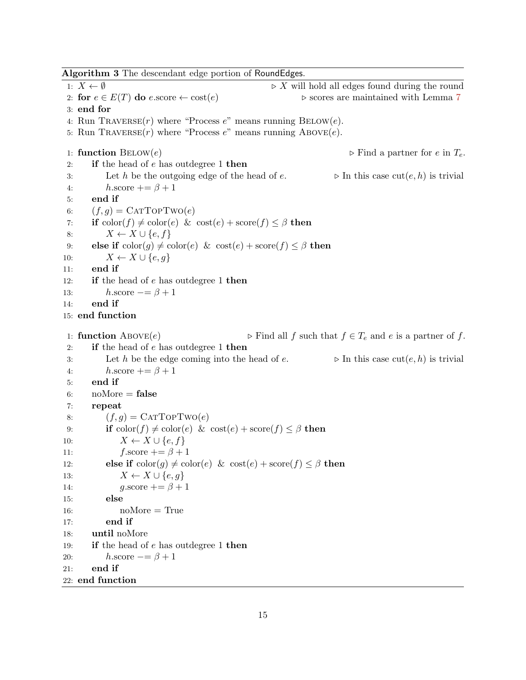<span id="page-14-0"></span>1:  $X \leftarrow \emptyset$  .  $X$  will hold all edges found during the round 2: for  $e \in E(T)$  do e.score  $\leftarrow \text{cost}(e)$   $\triangleright$  scores are maintained with Lemma [7](#page-7-0) 3: end for 4: Run TRAVERSE $(r)$  where "Process  $e$ " means running BELOW $(e)$ . 5: Run TRAVERSE $(r)$  where "Process  $e$ " means running ABOVE $(e)$ . 1: **function**  $BEDW(e)$  . Find a partner for e in  $T_e$ . 2: if the head of  $e$  has outdegree 1 then 3: Let h be the outgoing edge of the head of e.  $\triangleright$  In this case cut(e, h) is trivial 4:  $h.\text{score} += \beta + 1$ 5: end if 6:  $(f, g) = \text{CATTOPTwo}(e)$ 7: if  $\text{color}(f) \neq \text{color}(e) \& \text{cost}(e) + \text{score}(f) \leq \beta$  then 8:  $X \leftarrow X \cup \{e, f\}$ 9: else if  $\text{color}(g) \neq \text{color}(e) \& \text{cost}(e) + \text{score}(f) \leq \beta$  then 10:  $X \leftarrow X \cup \{e, q\}$ 11: end if 12: **if** the head of e has outdegree 1 then 13:  $h.\text{score} \equiv \beta + 1$ 14: end if 15: end function 1: **function** ABOVE(e)  $\triangleright$  Find all f such that  $f \in T_e$  and e is a partner of f. 2: if the head of  $e$  has outdegree 1 then 3: Let h be the edge coming into the head of e.  $\triangleright$  In this case cut $(e, h)$  is trivial 4:  $h.\text{score} += \beta + 1$ 5: end if 6:  $noMore = false$ 7: repeat 8:  $(f, g) = \text{CATTopTwo}(e)$ 9: **if**  $\text{color}(f) \neq \text{color}(e) \& \text{cost}(e) + \text{score}(f) \leq \beta$  then 10:  $X \leftarrow X \cup \{e, f\}$ 11:  $f.\text{score} += \beta + 1$ 12: else if  $\text{color}(g) \neq \text{color}(e) \& \text{cost}(e) + \text{score}(f) \leq \beta$  then 13:  $X \leftarrow X \cup \{e, g\}$ 14:  $q\text{.score} += \beta + 1$ 15: else 16: noMore = True 17: end if 18: until noMore 19: **if** the head of e has outdegree 1 then 20:  $h.\text{score} = \beta + 1$ 21: end if 22: end function

Algorithm 3 The descendant edge portion of RoundEdges.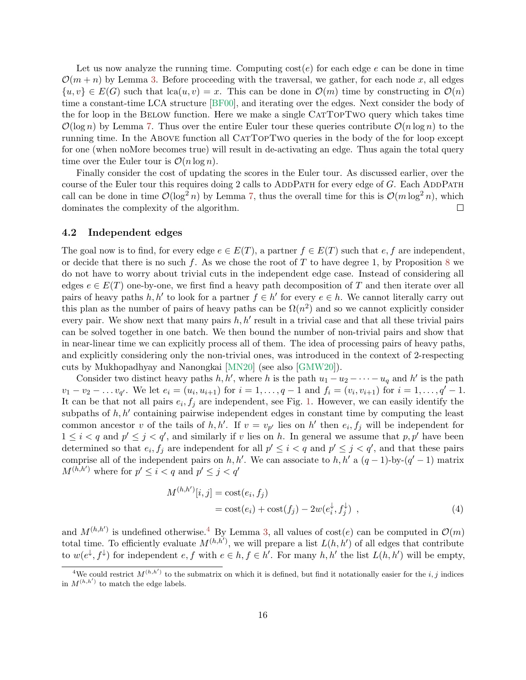Let us now analyze the running time. Computing  $cost(e)$  for each edge e can be done in time  $\mathcal{O}(m+n)$  by Lemma [3.](#page-6-0) Before proceeding with the traversal, we gather, for each node x, all edges  $\{u, v\} \in E(G)$  such that  $lca(u, v) = x$ . This can be done in  $\mathcal{O}(m)$  time by constructing in  $\mathcal{O}(n)$ time a constant-time LCA structure [\[BF00\]](#page-26-9), and iterating over the edges. Next consider the body of the for loop in the Below function. Here we make a single CatTopTwo query which takes time  $\mathcal{O}(\log n)$  by Lemma [7.](#page-7-0) Thus over the entire Euler tour these queries contribute  $\mathcal{O}(n \log n)$  to the running time. In the ABOVE function all CATTOPTWO queries in the body of the for loop except for one (when noMore becomes true) will result in de-activating an edge. Thus again the total query time over the Euler tour is  $\mathcal{O}(n \log n)$ .

Finally consider the cost of updating the scores in the Euler tour. As discussed earlier, over the course of the Euler tour this requires doing 2 calls to ADDPATH for every edge of  $G$ . Each ADDPATH call can be done in time  $\mathcal{O}(\log^2 n)$  by Lemma [7,](#page-7-0) thus the overall time for this is  $\mathcal{O}(m \log^2 n)$ , which dominates the complexity of the algorithm.  $\Box$ 

## 4.2 Independent edges

The goal now is to find, for every edge  $e \in E(T)$ , a partner  $f \in E(T)$  such that  $e, f$  are independent, or decide that there is no such f. As we chose the root of T to have degree 1, by Proposition [8](#page-8-0) we do not have to worry about trivial cuts in the independent edge case. Instead of considering all edges  $e \in E(T)$  one-by-one, we first find a heavy path decomposition of T and then iterate over all pairs of heavy paths h, h' to look for a partner  $f \in h'$  for every  $e \in h$ . We cannot literally carry out this plan as the number of pairs of heavy paths can be  $\Omega(n^2)$  and so we cannot explicitly consider every pair. We show next that many pairs  $h, h'$  result in a trivial case and that all these trivial pairs can be solved together in one batch. We then bound the number of non-trivial pairs and show that in near-linear time we can explicitly process all of them. The idea of processing pairs of heavy paths, and explicitly considering only the non-trivial ones, was introduced in the context of 2-respecting cuts by Mukhopadhyay and Nanongkai [\[MN20\]](#page-27-1) (see also [\[GMW20\]](#page-26-1)).

Consider two distinct heavy paths h, h', where h is the path  $u_1 - u_2 - \cdots - u_q$  and h' is the path  $v_1 - v_2 - \dots v_{q'}$ . We let  $e_i = (u_i, u_{i+1})$  for  $i = 1, \dots, q-1$  and  $f_i = (v_i, v_{i+1})$  for  $i = 1, \dots, q'-1$ . It can be that not all pairs  $e_i, f_j$  are independent, see Fig. [1.](#page-17-0) However, we can easily identify the subpaths of  $h, h'$  containing pairwise independent edges in constant time by computing the least common ancestor v of the tails of h, h'. If  $v = v_{p'}$  lies on h' then  $e_i, f_j$  will be independent for  $1 \leq i < q$  and  $p' \leq j < q'$ , and similarly if v lies on h. In general we assume that  $p, p'$  have been determined so that  $e_i, f_j$  are independent for all  $p' \leq i < q$  and  $p' \leq j < q'$ , and that these pairs comprise all of the independent pairs on h, h'. We can associate to h, h' a  $(q-1)$ -by- $(q'-1)$  matrix  $M^{(h,h')}$  where for  $p' \leq i < q$  and  $p' \leq j < q'$ 

<span id="page-15-1"></span>
$$
M^{(h,h')}[i,j] = \text{cost}(e_i, f_j)
$$
  
= 
$$
\text{cost}(e_i) + \text{cost}(f_j) - 2w(e_i^{\downarrow}, f_j^{\downarrow}) ,
$$
 (4)

and  $M^{(h,h')}$  is undefined otherwise.<sup>[4](#page-15-0)</sup> By Lemma [3,](#page-6-0) all values of cost(e) can be computed in  $\mathcal{O}(m)$ total time. To efficiently evaluate  $M^{(h,h')}$ , we will prepare a list  $L(h, h')$  of all edges that contribute to  $w(e^{\downarrow}, f^{\downarrow})$  for independent  $e, f$  with  $e \in h, f \in h'$ . For many  $h, h'$  the list  $L(h, h')$  will be empty,

<span id="page-15-0"></span><sup>&</sup>lt;sup>4</sup>We could restrict  $M^{(h,h')}$  to the submatrix on which it is defined, but find it notationally easier for the i, j indices in  $M^{(h,h')}$  to match the edge labels.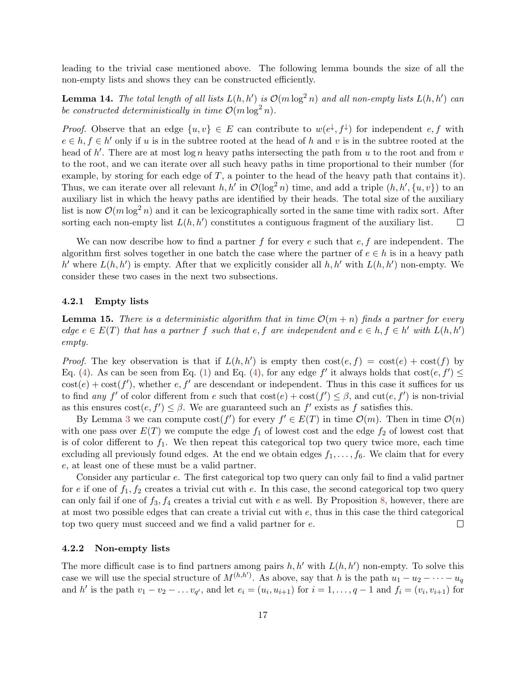leading to the trivial case mentioned above. The following lemma bounds the size of all the non-empty lists and shows they can be constructed efficiently.

**Lemma 14.** The total length of all lists  $L(h, h')$  is  $\mathcal{O}(m \log^2 n)$  and all non-empty lists  $L(h, h')$  can be constructed deterministically in time  $\mathcal{O}(m \log^2 n)$ .

*Proof.* Observe that an edge  $\{u, v\} \in E$  can contribute to  $w(e^{\downarrow}, f^{\downarrow})$  for independent e, f with  $e \in h, f \in h'$  only if u is in the subtree rooted at the head of h and v is in the subtree rooted at the head of  $h'$ . There are at most  $\log n$  heavy paths intersecting the path from u to the root and from v to the root, and we can iterate over all such heavy paths in time proportional to their number (for example, by storing for each edge of  $T$ , a pointer to the head of the heavy path that contains it). Thus, we can iterate over all relevant h, h' in  $\mathcal{O}(\log^2 n)$  time, and add a triple  $(h, h', \{u, v\})$  to an auxiliary list in which the heavy paths are identified by their heads. The total size of the auxiliary list is now  $\mathcal{O}(m \log^2 n)$  and it can be lexicographically sorted in the same time with radix sort. After sorting each non-empty list  $L(h, h')$  constitutes a contiguous fragment of the auxiliary list.  $\Box$ 

We can now describe how to find a partner f for every e such that  $e, f$  are independent. The algorithm first solves together in one batch the case where the partner of  $e \in h$  is in a heavy path h' where  $L(h, h')$  is empty. After that we explicitly consider all  $h, h'$  with  $L(h, h')$  non-empty. We consider these two cases in the next two subsections.

### 4.2.1 Empty lists

<span id="page-16-0"></span>**Lemma 15.** There is a deterministic algorithm that in time  $\mathcal{O}(m+n)$  finds a partner for every edge  $e \in E(T)$  that has a partner f such that e, f are independent and  $e \in h, f \in h'$  with  $L(h, h')$ empty.

*Proof.* The key observation is that if  $L(h, h')$  is empty then  $cost(e, f) = cost(e) + cost(f)$  by Eq. [\(4\)](#page-15-1). As can be seen from Eq. [\(1\)](#page-11-0) and Eq. (4), for any edge f' it always holds that  $cost(e, f') \le$  $\cos(t) + \cos(t')$ , whether e, f' are descendant or independent. Thus in this case it suffices for us to find any f' of color different from e such that  $\text{cost}(e) + \text{cost}(f') \leq \beta$ , and  $\text{cut}(e, f')$  is non-trivial as this ensures  $cost(e, f') \leq \beta$ . We are guaranteed such an f' exists as f satisfies this.

By Lemma [3](#page-6-0) we can compute  $cost(f')$  for every  $f' \in E(T)$  in time  $\mathcal{O}(m)$ . Then in time  $\mathcal{O}(n)$ with one pass over  $E(T)$  we compute the edge  $f_1$  of lowest cost and the edge  $f_2$  of lowest cost that is of color different to  $f_1$ . We then repeat this categorical top two query twice more, each time excluding all previously found edges. At the end we obtain edges  $f_1, \ldots, f_6$ . We claim that for every e, at least one of these must be a valid partner.

Consider any particular e. The first categorical top two query can only fail to find a valid partner for e if one of  $f_1, f_2$  creates a trivial cut with e. In this case, the second categorical top two query can only fail if one of  $f_3, f_4$  creates a trivial cut with e as well. By Proposition [8,](#page-8-0) however, there are at most two possible edges that can create a trivial cut with e, thus in this case the third categorical top two query must succeed and we find a valid partner for e.  $\Box$ 

### 4.2.2 Non-empty lists

The more difficult case is to find partners among pairs  $h, h'$  with  $L(h, h')$  non-empty. To solve this case we will use the special structure of  $M^{(h,h')}$ . As above, say that h is the path  $u_1 - u_2 - \cdots - u_q$ and h' is the path  $v_1 - v_2 - \ldots v_{q'}$ , and let  $e_i = (u_i, u_{i+1})$  for  $i = 1, \ldots, q-1$  and  $f_i = (v_i, v_{i+1})$  for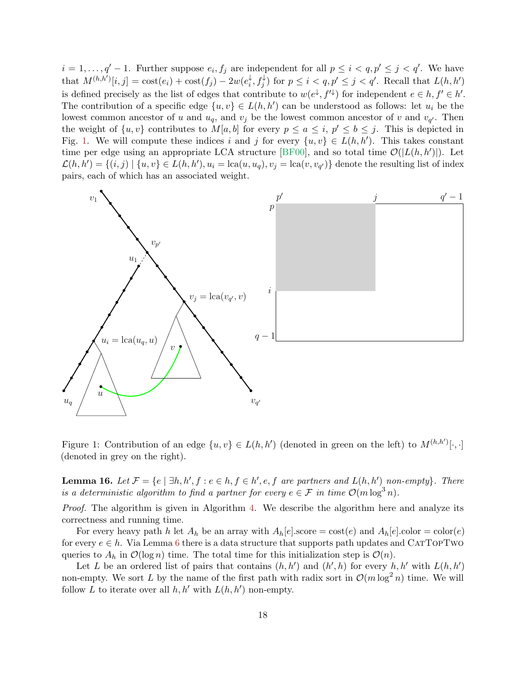$i = 1, \ldots, q' - 1$ . Further suppose  $e_i, f_j$  are independent for all  $p \leq i < q, p' \leq j < q'$ . We have that  $M^{(h,h')}[i,j] = \text{cost}(e_i) + \text{cost}(f_j) - 2w(e_i^{\downarrow})$  $\downarrow_i^{\downarrow}, f_j^{\downarrow}$  for  $p \leq i < q, p' \leq j < q'$ . Recall that  $L(h, h')$ is defined precisely as the list of edges that contribute to  $w(e^{\downarrow}, f'^{\downarrow})$  for independent  $e \in h, f' \in h'$ . The contribution of a specific edge  $\{u, v\} \in L(h, h')$  can be understood as follows: let  $u_i$  be the lowest common ancestor of u and  $u_q$ , and  $v_j$  be the lowest common ancestor of v and  $v_{q'}$ . Then the weight of  $\{u, v\}$  contributes to  $M[a, b]$  for every  $p \le a \le i, p' \le b \le j$ . This is depicted in Fig. [1.](#page-17-0) We will compute these indices i and j for every  $\{u, v\} \in L(h, h')$ . This takes constant time per edge using an appropriate LCA structure [\[BF00\]](#page-26-9), and so total time  $\mathcal{O}(|L(h, h')|)$ . Let  $\mathcal{L}(h, h') = \{(i, j) \mid \{u, v\} \in L(h, h'), u_i = \text{lca}(u, u_q), v_j = \text{lca}(v, v_{q'})\}$  denote the resulting list of index pairs, each of which has an associated weight.



<span id="page-17-0"></span>Figure 1: Contribution of an edge  $\{u, v\} \in L(h, h')$  (denoted in green on the left) to  $M^{(h,h')}[\cdot, \cdot]$ (denoted in grey on the right).

<span id="page-17-1"></span>**Lemma 16.** Let  $\mathcal{F} = \{e \mid \exists h, h', f : e \in h, f \in h', e, f \text{ are partners and } L(h, h') \text{ non-empty} \}.$  There is a deterministic algorithm to find a partner for every  $e \in \mathcal{F}$  in time  $\mathcal{O}(m \log^3 n)$ .

Proof. The algorithm is given in Algorithm [4.](#page-19-0) We describe the algorithm here and analyze its correctness and running time.

For every heavy path h let  $A_h$  be an array with  $A_h[e]$ .score = cost(e) and  $A_h[e]$ .color = color(e) for every  $e \in h$ . Via Lemma [6](#page-7-1) there is a data structure that supports path updates and CATTOPTWO queries to  $A_h$  in  $\mathcal{O}(\log n)$  time. The total time for this initialization step is  $\mathcal{O}(n)$ .

Let L be an ordered list of pairs that contains  $(h, h')$  and  $(h', h)$  for every  $h, h'$  with  $L(h, h')$ non-empty. We sort L by the name of the first path with radix sort in  $\mathcal{O}(m \log^2 n)$  time. We will follow L to iterate over all  $h, h'$  with  $L(h, h')$  non-empty.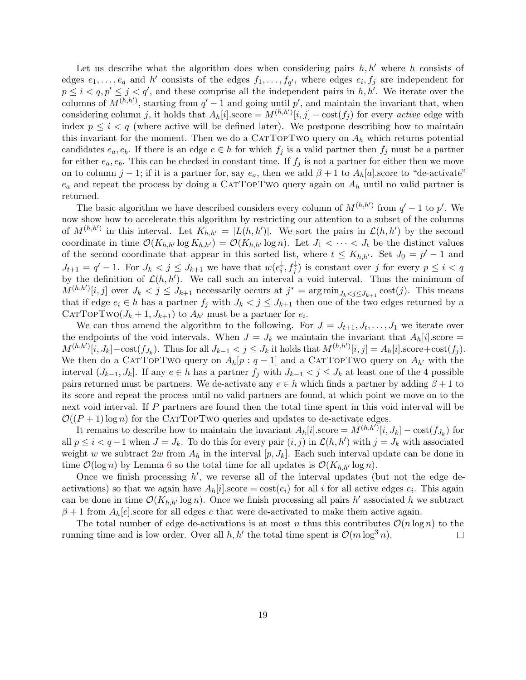Let us describe what the algorithm does when considering pairs  $h, h'$  where h consists of edges  $e_1, \ldots, e_q$  and h' consists of the edges  $f_1, \ldots, f_{q'}$ , where edges  $e_i, f_j$  are independent for  $p \leq i < q, p' \leq j < q'$ , and these comprise all the independent pairs in h, h'. We iterate over the columns of  $M^{(h,h')}$ , starting from  $q'-1$  and going until p', and maintain the invariant that, when considering column j, it holds that  $A_h[i].score = M^{(h,h')}[i,j] - \text{cost}(f_j)$  for every active edge with index  $p \leq i < q$  (where active will be defined later). We postpone describing how to maintain this invariant for the moment. Then we do a CATTOPTWO query on  $A_h$  which returns potential candidates  $e_a, e_b$ . If there is an edge  $e \in h$  for which  $f_j$  is a valid partner then  $f_j$  must be a partner for either  $e_a, e_b$ . This can be checked in constant time. If  $f_i$  is not a partner for either then we move on to column j – 1; if it is a partner for, say  $e_a$ , then we add  $\beta + 1$  to  $A_h[a]$  score to "de-activate"  $e_a$  and repeat the process by doing a CATTOPTWO query again on  $A_h$  until no valid partner is returned.

The basic algorithm we have described considers every column of  $M^{(h,h')}$  from  $q'-1$  to p'. We now show how to accelerate this algorithm by restricting our attention to a subset of the columns of  $M^{(h,h')}$  in this interval. Let  $K_{h,h'} = |L(h,h')|$ . We sort the pairs in  $\mathcal{L}(h,h')$  by the second coordinate in time  $\mathcal{O}(K_{h,h'} \log K_{h,h'}) = \mathcal{O}(K_{h,h'} \log n)$ . Let  $J_1 < \cdots < J_t$  be the distinct values of the second coordinate that appear in this sorted list, where  $t \leq K_{h,h'}$ . Set  $J_0 = p' - 1$  and  $J_{t+1} = q' - 1$ . For  $J_k < j \leq J_{k+1}$  we have that  $w(e_i^{\downarrow})$  $\downarrow_i^{\downarrow}, f_j^{\downarrow}$  is constant over j for every  $p \leq i < q$ by the definition of  $\mathcal{L}(h, h')$ . We call such an interval a void interval. Thus the minimum of  $M^{(h,h')}[i,j]$  over  $J_k < j \leq J_{k+1}$  necessarily occurs at  $j^* = \arg \min_{J_k < j \leq J_{k+1}} \text{cost}(j)$ . This means that if edge  $e_i \in h$  has a partner  $f_j$  with  $J_k < j \leq J_{k+1}$  then one of the two edges returned by a CATTOPTWO $(J_k + 1, J_{k+1})$  to  $A_{h'}$  must be a partner for  $e_i$ .

We can thus amend the algorithm to the following. For  $J = J_{t+1}, J_t, \ldots, J_1$  we iterate over the endpoints of the void intervals. When  $J = J_k$  we maintain the invariant that  $A_h[i]$ .score =  $M^{(h,h')}[i, J_k] - \text{cost}(f_{J_k})$ . Thus for all  $J_{k-1} < j \leq J_k$  it holds that  $M^{(h,h')}[i,j] = A_h[i]$ .score+cost $(f_j)$ . We then do a CATTOPTWO query on  $A_h[p: q-1]$  and a CATTOPTWO query on  $A_{h'}$  with the interval  $(J_{k-1}, J_k]$ . If any  $e \in h$  has a partner  $f_j$  with  $J_{k-1} < j \leq J_k$  at least one of the 4 possible pairs returned must be partners. We de-activate any  $e \in h$  which finds a partner by adding  $\beta + 1$  to its score and repeat the process until no valid partners are found, at which point we move on to the next void interval. If P partners are found then the total time spent in this void interval will be  $\mathcal{O}((P+1)\log n)$  for the CATTOPTWO queries and updates to de-activate edges.

It remains to describe how to maintain the invariant  $A_h[i]$  score  $=M^{(h,h')}[i, J_k] - \text{cost}(f_{J_k})$  for all  $p \leq i < q-1$  when  $J = J_k$ . To do this for every pair  $(i, j)$  in  $\mathcal{L}(h, h')$  with  $j = J_k$  with associated weight w we subtract  $2w$  from  $A_h$  in the interval  $[p, J_k]$ . Each such interval update can be done in time  $\mathcal{O}(\log n)$  by Lemma [6](#page-7-1) so the total time for all updates is  $\mathcal{O}(K_{h,h'} \log n)$ .

Once we finish processing  $h'$ , we reverse all of the interval updates (but not the edge deactivations) so that we again have  $A_h[i]$ .score = cost $(e_i)$  for all i for all active edges  $e_i$ . This again can be done in time  $\mathcal{O}(K_{h,h'}\log n)$ . Once we finish processing all pairs h' associated h we subtract  $\beta+1$  from  $A_h[e]$ . score for all edges e that were de-activated to make them active again.

The total number of edge de-activations is at most n thus this contributes  $\mathcal{O}(n \log n)$  to the running time and is low order. Over all  $h, h'$  the total time spent is  $\mathcal{O}(m \log^3 n)$ .  $\Box$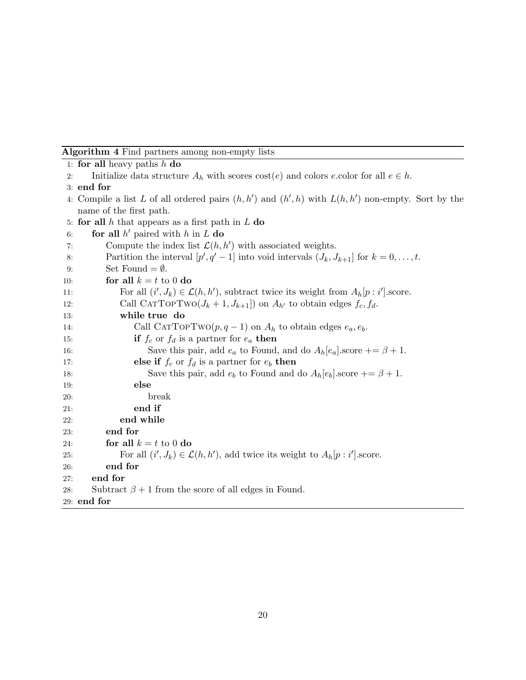## Algorithm 4 Find partners among non-empty lists

```
1: for all heavy paths h do
 2: Initialize data structure A_h with scores cost(e) and colors e.color for all e \in h.
 3: end for
 4: Compile a list L of all ordered pairs (h, h') and (h', h) with L(h, h') non-empty. Sort by the
   name of the first path.
 5: for all h that appears as a first path in L do
 6: for all h' paired with h in L do
 7: Compute the index list \mathcal{L}(h, h') with associated weights.
 8: Partition the interval [p', q' - 1] into void intervals (J_k, J_{k+1}] for k = 0, \ldots, t.
 9: Set Found = \emptyset.
10: for all k = t to 0 do
11: For all (i', J_k) \in \mathcal{L}(h, h'), subtract twice its weight from A_h[p : i'].score.
12: Call CATTOPTWO(J_k + 1, J_{k+1}) on A_{h'} to obtain edges f_c, f_d.
13: while true do
14: Call CATTOPTwo(p, q - 1) on A_h to obtain edges e_a, e_b.
15: if f_c or f_d is a partner for e_a then
16: Save this pair, add e_a to Found, and do A_h[e_a] score += \beta + 1.
17: else if f_c or f_d is a partner for e_b then
18: Save this pair, add e_b to Found and do A_h[e_b].score += \beta + 1.
19: else
20: break
21: end if
22: end while
23: end for
24: for all k = t to 0 do
25: For all (i', J_k) \in \mathcal{L}(h, h'), add twice its weight to A_h[p : i'].score.
26: end for
27: end for
28: Subtract \beta + 1 from the score of all edges in Found.
29: end for
```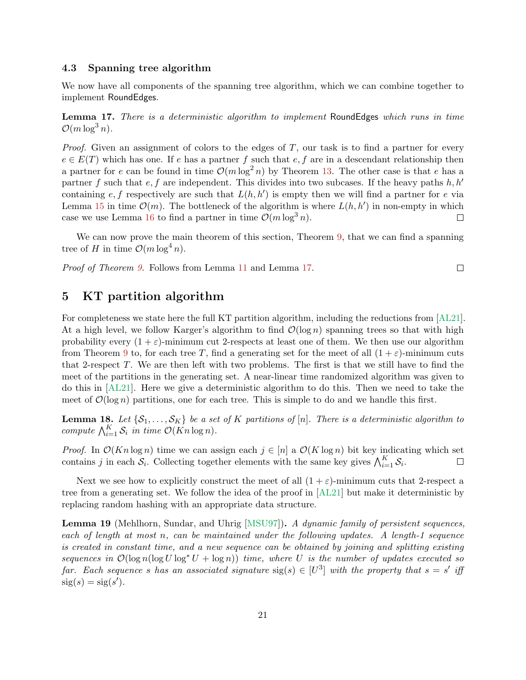## 4.3 Spanning tree algorithm

We now have all components of the spanning tree algorithm, which we can combine together to implement RoundEdges.

<span id="page-20-1"></span>Lemma 17. There is a deterministic algorithm to implement RoundEdges which runs in time  $\mathcal{O}(m \log^3 n)$ .

*Proof.* Given an assignment of colors to the edges of  $T$ , our task is to find a partner for every  $e \in E(T)$  which has one. If e has a partner f such that e, f are in a descendant relationship then a partner for e can be found in time  $\mathcal{O}(m \log^2 n)$  by Theorem [13.](#page-12-1) The other case is that e has a partner f such that e, f are independent. This divides into two subcases. If the heavy paths h, h' containing  $e, f$  respectively are such that  $L(h, h')$  is empty then we will find a partner for e via Lemma [15](#page-16-0) in time  $\mathcal{O}(m)$ . The bottleneck of the algorithm is where  $L(h, h')$  in non-empty in which case we use Lemma [16](#page-17-1) to find a partner in time  $\mathcal{O}(m \log^3 n)$ .  $\Box$ 

We can now prove the main theorem of this section, Theorem [9,](#page-8-1) that we can find a spanning tree of H in time  $\mathcal{O}(m \log^4 n)$ .

 $\Box$ 

Proof of Theorem [9.](#page-8-1) Follows from Lemma [11](#page-9-0) and Lemma [17.](#page-20-1)

# <span id="page-20-0"></span>5 KT partition algorithm

For completeness we state here the full KT partition algorithm, including the reductions from [\[AL21\]](#page-26-7). At a high level, we follow Karger's algorithm to find  $\mathcal{O}(\log n)$  spanning trees so that with high probability every  $(1 + \varepsilon)$ -minimum cut 2-respects at least one of them. We then use our algorithm from Theorem [9](#page-8-1) to, for each tree T, find a generating set for the meet of all  $(1 + \varepsilon)$ -minimum cuts that 2-respect  $T$ . We are then left with two problems. The first is that we still have to find the meet of the partitions in the generating set. A near-linear time randomized algorithm was given to do this in [\[AL21\]](#page-26-7). Here we give a deterministic algorithm to do this. Then we need to take the meet of  $\mathcal{O}(\log n)$  partitions, one for each tree. This is simple to do and we handle this first.

<span id="page-20-3"></span>**Lemma 18.** Let  $\{S_1, \ldots, S_K\}$  be a set of K partitions of [n]. There is a deterministic algorithm to compute  $\bigwedge_{i=1}^K \mathcal{S}_i$  in time  $\mathcal{O}(Kn \log n)$ .

*Proof.* In  $\mathcal{O}(Kn \log n)$  time we can assign each  $j \in [n]$  a  $\mathcal{O}(K \log n)$  bit key indicating which set contains j in each  $S_i$ . Collecting together elements with the same key gives  $\bigwedge_{i=1}^K S_i$ .  $\Box$ 

Next we see how to explicitly construct the meet of all  $(1 + \varepsilon)$ -minimum cuts that 2-respect a tree from a generating set. We follow the idea of the proof in [\[AL21\]](#page-26-7) but make it deterministic by replacing random hashing with an appropriate data structure.

<span id="page-20-2"></span>Lemma 19 (Mehlhorn, Sundar, and Uhrig [\[MSU97\]](#page-27-14)). A dynamic family of persistent sequences, each of length at most n, can be maintained under the following updates. A length-1 sequence is created in constant time, and a new sequence can be obtained by joining and splitting existing sequences in  $\mathcal{O}(\log n(\log U \log^* U + \log n))$  time, where U is the number of updates executed so far. Each sequence s has an associated signature  $sig(s) \in [U^3]$  with the property that  $s = s'$  iff  $sig(s) = sig(s')$ .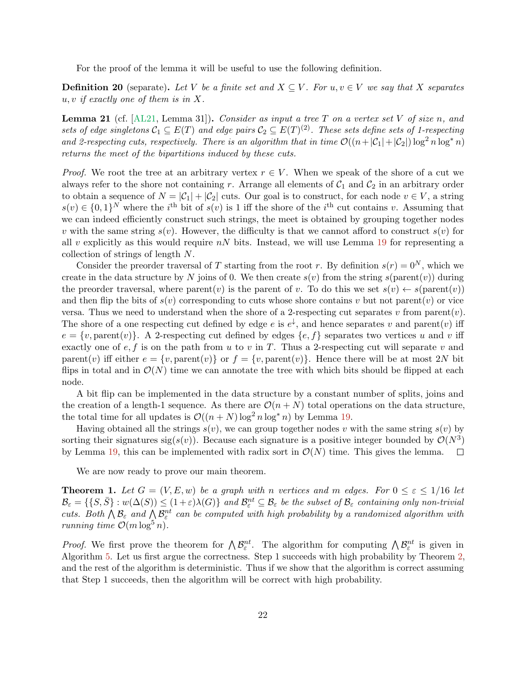For the proof of the lemma it will be useful to use the following definition.

**Definition 20** (separate). Let V be a finite set and  $X \subseteq V$ . For  $u, v \in V$  we say that X separates  $u, v$  if exactly one of them is in X.

<span id="page-21-0"></span>**Lemma 21** (cf.  $[AL21, Lemma 31]$  $[AL21, Lemma 31]$ ). Consider as input a tree T on a vertex set V of size n, and sets of edge singletons  $\mathcal{C}_1 \subseteq E(T)$  and edge pairs  $\mathcal{C}_2 \subseteq E(T)^{(2)}$ . These sets define sets of 1-respecting and 2-respecting cuts, respectively. There is an algorithm that in time  $\mathcal{O}((n+|\mathcal{C}_1|+|\mathcal{C}_2|)\log^2 n \log^* n)$ returns the meet of the bipartitions induced by these cuts.

*Proof.* We root the tree at an arbitrary vertex  $r \in V$ . When we speak of the shore of a cut we always refer to the shore not containing r. Arrange all elements of  $C_1$  and  $C_2$  in an arbitrary order to obtain a sequence of  $N = |\mathcal{C}_1| + |\mathcal{C}_2|$  cuts. Our goal is to construct, for each node  $v \in V$ , a string  $s(v) \in \{0,1\}^N$  where the i<sup>th</sup> bit of  $s(v)$  is 1 iff the shore of the i<sup>th</sup> cut contains v. Assuming that we can indeed efficiently construct such strings, the meet is obtained by grouping together nodes v with the same string  $s(v)$ . However, the difficulty is that we cannot afford to construct  $s(v)$  for all v explicitly as this would require  $nN$  bits. Instead, we will use Lemma [19](#page-20-2) for representing a collection of strings of length N.

Consider the preorder traversal of T starting from the root r. By definition  $s(r) = 0^N$ , which we create in the data structure by N joins of 0. We then create  $s(v)$  from the string  $s(\text{parent}(v))$  during the preorder traversal, where parent $(v)$  is the parent of v. To do this we set  $s(v) \leftarrow s(\text{parent}(v))$ and then flip the bits of  $s(v)$  corresponding to cuts whose shore contains v but not parent $(v)$  or vice versa. Thus we need to understand when the shore of a 2-respecting cut separates v from parent $(v)$ . The shore of a one respecting cut defined by edge e is  $e^{\downarrow}$ , and hence separates v and parent(v) iff  $e = \{v, \text{parent}(v)\}\$ . A 2-respecting cut defined by edges  $\{e, f\}$  separates two vertices u and v iff exactly one of  $e, f$  is on the path from u to v in T. Thus a 2-respecting cut will separate v and parent(v) iff either  $e = \{v, \text{parent}(v)\}\$  or  $f = \{v, \text{parent}(v)\}\$ . Hence there will be at most 2N bit flips in total and in  $\mathcal{O}(N)$  time we can annotate the tree with which bits should be flipped at each node.

A bit flip can be implemented in the data structure by a constant number of splits, joins and the creation of a length-1 sequence. As there are  $\mathcal{O}(n+N)$  total operations on the data structure, the total time for all updates is  $\mathcal{O}((n+N) \log^2 n \log^* n)$  by Lemma [19.](#page-20-2)

Having obtained all the strings  $s(v)$ , we can group together nodes v with the same string  $s(v)$  by sorting their signatures sig(s(v)). Because each signature is a positive integer bounded by  $\mathcal{O}(N^3)$ by Lemma [19,](#page-20-2) this can be implemented with radix sort in  $\mathcal{O}(N)$  time. This gives the lemma.  $\Box$ 

We are now ready to prove our main theorem.

**Theorem 1.** Let  $G = (V, E, w)$  be a graph with n vertices and m edges. For  $0 \le \varepsilon \le 1/16$  let  $\mathcal{B}_{\varepsilon} = \{ \{ S, \bar{S} \} : w(\Delta(S)) \leq (1+\varepsilon) \lambda(G) \}$  and  $\mathcal{B}_{\varepsilon}^{nt} \subseteq \mathcal{B}_{\varepsilon}$  be the subset of  $\mathcal{B}_{\varepsilon}$  containing only non-trivial cuts. Both  $\bigwedge \mathcal{B}_{\varepsilon}$  and  $\bigwedge \mathcal{B}_{\varepsilon}^{nt}$  can be computed with high probability by a randomized algorithm with running time  $\mathcal{O}(m \log^5 n)$ .

*Proof.* We first prove the theorem for  $\bigwedge \mathcal{B}_{\varepsilon}^{nt}$ . The algorithm for computing  $\bigwedge \mathcal{B}_{\varepsilon}^{nt}$  is given in Algorithm [5.](#page-22-0) Let us first argue the correctness. Step 1 succeeds with high probability by Theorem [2,](#page-6-1) and the rest of the algorithm is deterministic. Thus if we show that the algorithm is correct assuming that Step 1 succeeds, then the algorithm will be correct with high probability.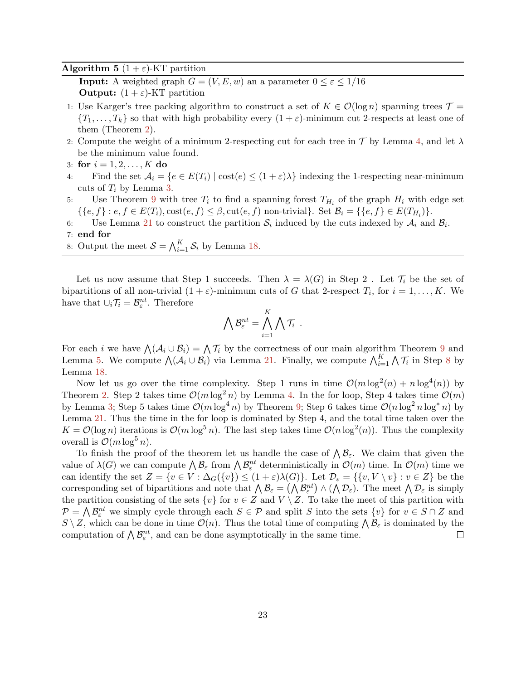#### <span id="page-22-0"></span>**Algorithm 5**  $(1 + \varepsilon)$ -KT partition

**Input:** A weighted graph  $G = (V, E, w)$  an a parameter  $0 \le \varepsilon \le 1/16$ **Output:**  $(1 + \varepsilon)$ -KT partition

- 1: Use Karger's tree packing algorithm to construct a set of  $K \in \mathcal{O}(\log n)$  spanning trees  $\mathcal{T} =$  $\{T_1,\ldots,T_k\}$  so that with high probability every  $(1+\varepsilon)$ -minimum cut 2-respects at least one of them (Theorem [2\)](#page-6-1).
- 2: Compute the weight of a minimum 2-respecting cut for each tree in  $\mathcal T$  by Lemma [4,](#page-6-2) and let  $\lambda$ be the minimum value found.
- 3: for  $i = 1, 2, ..., K$  do
- 4: Find the set  $A_i = \{e \in E(T_i) \mid \text{cost}(e) \leq (1 + \varepsilon)\lambda\}$  indexing the 1-respecting near-minimum cuts of  $T_i$  by Lemma [3.](#page-6-0)
- 5: Use Theorem [9](#page-8-1) with tree  $T_i$  to find a spanning forest  $T_{H_i}$  of the graph  $H_i$  with edge set  $\{\{e,f\}: e,f \in E(T_i), \text{cost}(e,f) \leq \beta, \text{cut}(e,f) \text{ non-trivial}\}.$  Set  $\mathcal{B}_i = \{\{e,f\} \in E(T_{H_i})\}.$
- 6: Use Lemma [21](#page-21-0) to construct the partition  $S_i$  induced by the cuts indexed by  $A_i$  and  $B_i$ .
- 7: end for
- 8: Output the meet  $S = \bigwedge_{i=1}^{K} S_i$  by Lemma [18.](#page-20-3)

Let us now assume that Step 1 succeeds. Then  $\lambda = \lambda(G)$  in Step 2. Let  $\mathcal{T}_i$  be the set of bipartitions of all non-trivial  $(1 + \varepsilon)$ -minimum cuts of G that 2-respect  $T_i$ , for  $i = 1, ..., K$ . We have that  $\cup_i \mathcal{T}_i = \mathcal{B}^{nt}_{\varepsilon}$ . Therefore

$$
\bigwedge \mathcal{B}^{nt}_{\varepsilon} = \bigwedge_{i=1}^K \bigwedge \mathcal{T}_i \enspace .
$$

For each *i* we have  $\bigwedge(\mathcal{A}_i \cup \mathcal{B}_i) = \bigwedge \mathcal{T}_i$  by the correctness of our main algorithm Theorem [9](#page-8-1) and Lemma [5.](#page-6-3) We compute  $\bigwedge (\mathcal{A}_i \cup \mathcal{B}_i)$  via Lemma [21.](#page-21-0) Finally, we compute  $\bigwedge_{i=1}^K \bigwedge \mathcal{T}_i$  in Step [8](#page-22-0) by Lemma [18.](#page-20-3)

Now let us go over the time complexity. Step 1 runs in time  $\mathcal{O}(m \log^2(n) + n \log^4(n))$  by Theorem [2.](#page-6-1) Step 2 takes time  $\mathcal{O}(m \log^2 n)$  by Lemma [4.](#page-6-2) In the for loop, Step 4 takes time  $\mathcal{O}(m)$ by Lemma [3;](#page-6-0) Step 5 takes time  $\mathcal{O}(m \log^4 n)$  by Theorem [9;](#page-8-1) Step 6 takes time  $\mathcal{O}(n \log^2 n \log^* n)$  by Lemma [21.](#page-21-0) Thus the time in the for loop is dominated by Step 4, and the total time taken over the  $K = \mathcal{O}(\log n)$  iterations is  $\mathcal{O}(m \log^5 n)$ . The last step takes time  $\mathcal{O}(n \log^2(n))$ . Thus the complexity overall is  $\mathcal{O}(m \log^5 n)$ .

To finish the proof of the theorem let us handle the case of  $\bigwedge \mathcal{B}_{\varepsilon}$ . We claim that given the value of  $\lambda(G)$  we can compute  $\bigwedge \mathcal{B}_{\varepsilon}$  from  $\bigwedge \mathcal{B}_{\varepsilon}^{nt}$  deterministically in  $\mathcal{O}(m)$  time. In  $\mathcal{O}(m)$  time we can identify the set  $Z = \{v \in V : \Delta_G(\{v\}) \leq (1+\varepsilon)\lambda(G)\}\)$ . Let  $\mathcal{D}_{\varepsilon} = \{\{v, V \setminus v\} : v \in Z\}$  be the corresponding set of bipartitions and note that  $\bigwedge \mathcal{B}_{\varepsilon} = (\bigwedge \mathcal{B}_{\varepsilon}^{nt}) \wedge (\bigwedge \mathcal{D}_{\varepsilon})$ . The meet  $\bigwedge \mathcal{D}_{\varepsilon}$  is simply the partition consisting of the sets  $\{v\}$  for  $v \in Z$  and  $V \setminus Z$ . To take the meet of this partition with  $\mathcal{P} = \bigwedge \mathcal{B}_{\varepsilon}^{nt}$  we simply cycle through each  $S \in \mathcal{P}$  and split S into the sets  $\{v\}$  for  $v \in S \cap Z$  and  $S \setminus Z$ , which can be done in time  $\mathcal{O}(n)$ . Thus the total time of computing  $\bigwedge \mathcal{B}_{\varepsilon}$  is dominated by the computation of  $\bigwedge \mathcal{B}^{nt}_{\varepsilon}$ , and can be done asymptotically in the same time.  $\Box$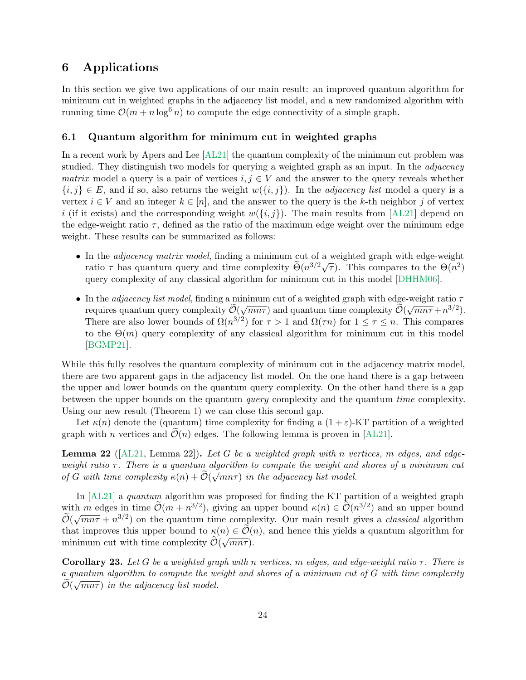# 6 Applications

In this section we give two applications of our main result: an improved quantum algorithm for minimum cut in weighted graphs in the adjacency list model, and a new randomized algorithm with running time  $\mathcal{O}(m + n \log^6 n)$  to compute the edge connectivity of a simple graph.

## <span id="page-23-0"></span>6.1 Quantum algorithm for minimum cut in weighted graphs

In a recent work by Apers and Lee [\[AL21\]](#page-26-7) the quantum complexity of the minimum cut problem was studied. They distinguish two models for querying a weighted graph as an input. In the adjacency *matrix* model a query is a pair of vertices  $i, j \in V$  and the answer to the query reveals whether  ${i,j} \in E$ , and if so, also returns the weight  $w({i,j})$ . In the *adjacency list* model a query is a vertex  $i \in V$  and an integer  $k \in [n]$ , and the answer to the query is the k-th neighbor j of vertex i (if it exists) and the corresponding weight  $w(\{i, j\})$ . The main results from [\[AL21\]](#page-26-7) depend on the edge-weight ratio  $\tau$ , defined as the ratio of the maximum edge weight over the minimum edge weight. These results can be summarized as follows:

- In the *adjacency matrix model*, finding a minimum cut of a weighted graph with edge-weight In the *dayacency matrix model*, inding a minimum cut of a weighted graph with edge-weight<br>ratio τ has quantum query and time complexity  $\tilde{\Theta}(n^{3/2}\sqrt{\tau})$ . This compares to the  $\Theta(n^2)$ query complexity of any classical algorithm for minimum cut in this model [\[DHHM06\]](#page-26-10).
- In the *adjacency list model*, finding a minimum cut of a weighted graph with edge-weight ratio  $\tau$ In the *daydency ast model*, miding a minimum cut of a weighted graph with edge-weight ratio?<br>requires quantum query complexity  $\widetilde{O}(\sqrt{mn\tau})$  and quantum time complexity  $\widetilde{O}(\sqrt{mn\tau}+n^{3/2})$ . There are also lower bounds of  $\Omega(n^{3/2})$  for  $\tau > 1$  and  $\Omega(\tau n)$  for  $1 \leq \tau \leq n$ . This compares to the  $\Theta(m)$  query complexity of any classical algorithm for minimum cut in this model [\[BGMP21\]](#page-26-11).

While this fully resolves the quantum complexity of minimum cut in the adjacency matrix model, there are two apparent gaps in the adjacency list model. On the one hand there is a gap between the upper and lower bounds on the quantum query complexity. On the other hand there is a gap between the upper bounds on the quantum query complexity and the quantum time complexity. Using our new result (Theorem [1\)](#page-4-0) we can close this second gap.

Let  $\kappa(n)$  denote the (quantum) time complexity for finding a  $(1+\varepsilon)$ -KT partition of a weighted graph with n vertices and  $\mathcal{O}(n)$  edges. The following lemma is proven in [\[AL21\]](#page-26-7).

**Lemma 22** ( $[AL21, Lemma 22]$  $[AL21, Lemma 22]$ ). Let G be a weighted graph with n vertices, m edges, and edgeweight ratio  $\tau$ . There is a quantum algorithm to compute the weight and shores of a minimum cut of G with time complexity  $\kappa(n) + \mathcal{O}(\sqrt{mn\tau})$  in the adjacency list model.

In [\[AL21\]](#page-26-7) a quantum algorithm was proposed for finding the KT partition of a weighted graph with m edges in time  $\tilde{\mathcal{O}}(m+n^{3/2})$ , giving an upper bound  $\kappa(n) \in \tilde{\mathcal{O}}(n^{3/2})$  and an upper bound  $\tilde{\mathcal{O}}(m+n^{3/2})$ .  $\widetilde{\mathcal{O}}(\sqrt{mn\tau} + n^{3/2})$  on the quantum time complexity. Our main result gives a *classical* algorithm that improves this upper bound to  $\kappa(n) \in \mathcal{O}(n)$ , and hence this yields a quantum algorithm for minimum cut with time complexity  $\widetilde{\mathcal{O}}(\sqrt{mn\tau})$ .

Corollary 23. Let G be a weighted graph with n vertices, m edges, and edge-weight ratio  $\tau$ . There is a quantum algorithm to compute the weight and shores of a minimum cut of G with time complexity  $\mathcal{O}(\sqrt{mn\tau})$  in the adjacency list model.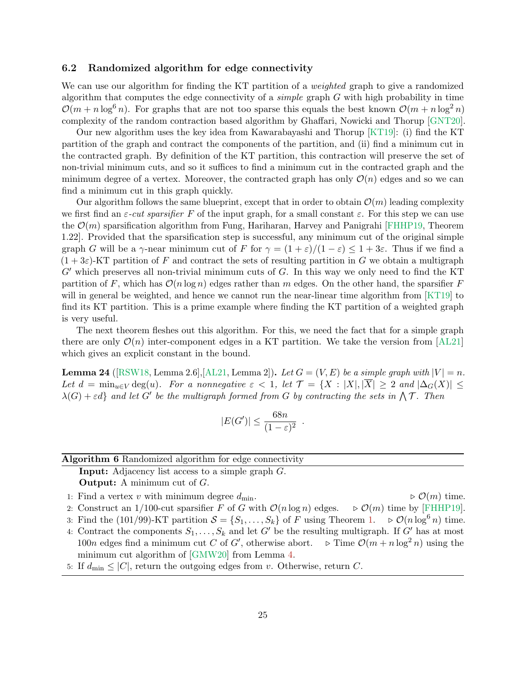## <span id="page-24-0"></span>6.2 Randomized algorithm for edge connectivity

We can use our algorithm for finding the KT partition of a *weighted* graph to give a randomized algorithm that computes the edge connectivity of a *simple* graph  $G$  with high probability in time  $\mathcal{O}(m + n \log^6 n)$ . For graphs that are not too sparse this equals the best known  $\mathcal{O}(m + n \log^2 n)$ complexity of the random contraction based algorithm by Ghaffari, Nowicki and Thorup [\[GNT20\]](#page-27-7).

Our new algorithm uses the key idea from Kawarabayashi and Thorup [\[KT19\]](#page-27-2): (i) find the KT partition of the graph and contract the components of the partition, and (ii) find a minimum cut in the contracted graph. By definition of the KT partition, this contraction will preserve the set of non-trivial minimum cuts, and so it suffices to find a minimum cut in the contracted graph and the minimum degree of a vertex. Moreover, the contracted graph has only  $\mathcal{O}(n)$  edges and so we can find a minimum cut in this graph quickly.

Our algorithm follows the same blueprint, except that in order to obtain  $\mathcal{O}(m)$  leading complexity we first find an  $\varepsilon$ -cut sparsifier F of the input graph, for a small constant  $\varepsilon$ . For this step we can use the  $\mathcal{O}(m)$  sparsification algorithm from Fung, Hariharan, Harvey and Panigrahi [\[FHHP19,](#page-26-12) Theorem 1.22]. Provided that the sparsification step is successful, any minimum cut of the original simple graph G will be a  $\gamma$ -near minimum cut of F for  $\gamma = (1 + \varepsilon)/(1 - \varepsilon) \leq 1 + 3\varepsilon$ . Thus if we find a  $(1+3\varepsilon)$ -KT partition of F and contract the sets of resulting partition in G we obtain a multigraph  $G'$  which preserves all non-trivial minimum cuts of  $G$ . In this way we only need to find the KT partition of F, which has  $\mathcal{O}(n \log n)$  edges rather than m edges. On the other hand, the sparsifier F will in general be weighted, and hence we cannot run the near-linear time algorithm from [\[KT19\]](#page-27-2) to find its KT partition. This is a prime example where finding the KT partition of a weighted graph is very useful.

The next theorem fleshes out this algorithm. For this, we need the fact that for a simple graph there are only  $\mathcal{O}(n)$  inter-component edges in a KT partition. We take the version from [\[AL21\]](#page-26-7) which gives an explicit constant in the bound.

<span id="page-24-2"></span>**Lemma 24** ([\[RSW18,](#page-27-5) Lemma 2.6], [\[AL21,](#page-26-7) Lemma 2]). Let  $G = (V, E)$  be a simple graph with  $|V| = n$ . Let  $d = \min_{u \in V} \deg(u)$ . For a nonnegative  $\varepsilon < 1$ , let  $\mathcal{T} = \{X : |X|, |\overline{X}| \geq 2 \text{ and } |\Delta_G(X)| \leq$  $\lambda(G) + \varepsilon d$  and let G' be the multigraph formed from G by contracting the sets in  $\Lambda \mathcal{T}$ . Then

$$
|E(G')| \le \frac{68n}{(1-\varepsilon)^2} .
$$

#### Algorithm 6 Randomized algorithm for edge connectivity

<span id="page-24-1"></span>Input: Adjacency list access to a simple graph G. **Output:** A minimum cut of  $G$ .

1: Find a vertex v with minimum degree  $d_{\min}$ .  $\rhd \mathcal{O}(m)$  time.

- 2: Construct an 1/100-cut sparsifier F of G with  $\mathcal{O}(n \log n)$  edges.  $\Rightarrow \mathcal{O}(m)$  time by [\[FHHP19\]](#page-26-12).
- 3: Find the (101/99)-KT partition  $S = \{S_1, \ldots, S_k\}$  of F using Theorem [1.](#page-4-0)  $\triangleright \mathcal{O}(n \log^6 n)$  time.
- 4: Contract the components  $S_1, \ldots, S_k$  and let G' be the resulting multigraph. If G' has at most 100n edges find a minimum cut C of G', otherwise abort.  $\triangleright$  Time  $\mathcal{O}(m + n \log^2 n)$  using the minimum cut algorithm of [\[GMW20\]](#page-26-1) from Lemma [4.](#page-6-2)
- 5: If  $d_{\text{min}} \leq |C|$ , return the outgoing edges from v. Otherwise, return C.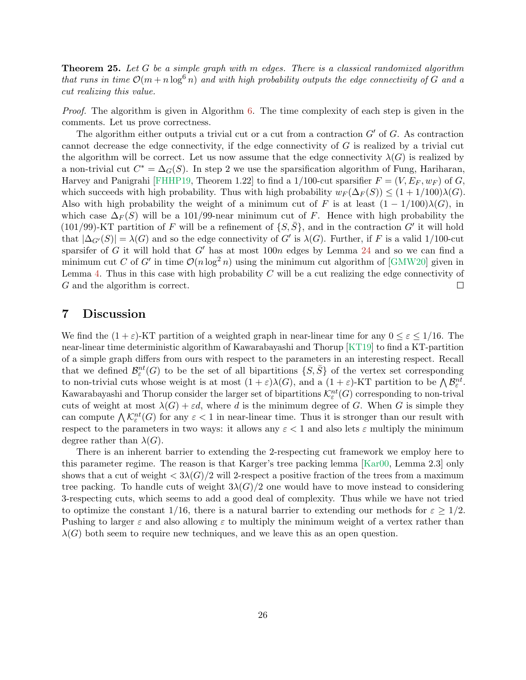**Theorem 25.** Let G be a simple graph with m edges. There is a classical randomized algorithm that runs in time  $\mathcal{O}(m + n \log^6 n)$  and with high probability outputs the edge connectivity of G and a cut realizing this value.

Proof. The algorithm is given in Algorithm [6.](#page-24-1) The time complexity of each step is given in the comments. Let us prove correctness.

The algorithm either outputs a trivial cut or a cut from a contraction  $G'$  of  $G$ . As contraction cannot decrease the edge connectivity, if the edge connectivity of G is realized by a trivial cut the algorithm will be correct. Let us now assume that the edge connectivity  $\lambda(G)$  is realized by a non-trivial cut  $C^* = \Delta_G(S)$ . In step 2 we use the sparsification algorithm of Fung, Hariharan, Harvey and Panigrahi [\[FHHP19,](#page-26-12) Theorem 1.22] to find a 1/100-cut sparsifier  $F = (V, E_F, w_F)$  of G, which succeeds with high probability. Thus with high probability  $w_F(\Delta_F(S)) \leq (1 + 1/100)\lambda(G)$ . Also with high probability the weight of a minimum cut of F is at least  $(1 - 1/100)\lambda(G)$ , in which case  $\Delta_F(S)$  will be a 101/99-near minimum cut of F. Hence with high probability the (101/99)-KT partition of F will be a refinement of  $\{S,\bar{S}\}\$ , and in the contraction G' it will hold that  $|\Delta_{G'}(S)| = \lambda(G)$  and so the edge connectivity of G' is  $\lambda(G)$ . Further, if F is a valid 1/100-cut sparsifer of G it will hold that  $G'$  has at most  $100n$  edges by Lemma [24](#page-24-2) and so we can find a minimum cut C of G' in time  $\mathcal{O}(n \log^2 n)$  using the minimum cut algorithm of [\[GMW20\]](#page-26-1) given in Lemma [4.](#page-6-2) Thus in this case with high probability  $C$  will be a cut realizing the edge connectivity of G and the algorithm is correct.  $\Box$ 

# 7 Discussion

We find the  $(1 + \varepsilon)$ -KT partition of a weighted graph in near-linear time for any  $0 \le \varepsilon \le 1/16$ . The near-linear time deterministic algorithm of Kawarabayashi and Thorup [\[KT19\]](#page-27-2) to find a KT-partition of a simple graph differs from ours with respect to the parameters in an interesting respect. Recall that we defined  $\mathcal{B}^{nt}_{\varepsilon}(G)$  to be the set of all bipartitions  $\{S, \bar{S}\}\$  of the vertex set corresponding to non-trivial cuts whose weight is at most  $(1+\varepsilon)\lambda(G)$ , and a  $(1+\varepsilon)$ -KT partition to be  $\bigwedge \mathcal{B}_{\varepsilon}^{nt}$ . Kawarabayashi and Thorup consider the larger set of bipartitions  $\mathcal{K}^{nt}_\varepsilon(G)$  corresponding to non-trival cuts of weight at most  $\lambda(G) + \varepsilon d$ , where d is the minimum degree of G. When G is simple they can compute  $\bigwedge \mathcal{K}^{nt}_{\varepsilon}(G)$  for any  $\varepsilon < 1$  in near-linear time. Thus it is stronger than our result with respect to the parameters in two ways: it allows any  $\varepsilon < 1$  and also lets  $\varepsilon$  multiply the minimum degree rather than  $\lambda(G)$ .

There is an inherent barrier to extending the 2-respecting cut framework we employ here to this parameter regime. The reason is that Karger's tree packing lemma [\[Kar00,](#page-27-0) Lemma 2.3] only shows that a cut of weight  $\langle 3\lambda(G)/2 \text{ will } 2$ -respect a positive fraction of the trees from a maximum tree packing. To handle cuts of weight  $3\lambda(G)/2$  one would have to move instead to considering 3-respecting cuts, which seems to add a good deal of complexity. Thus while we have not tried to optimize the constant 1/16, there is a natural barrier to extending our methods for  $\varepsilon \geq 1/2$ . Pushing to larger  $\varepsilon$  and also allowing  $\varepsilon$  to multiply the minimum weight of a vertex rather than  $\lambda(G)$  both seem to require new techniques, and we leave this as an open question.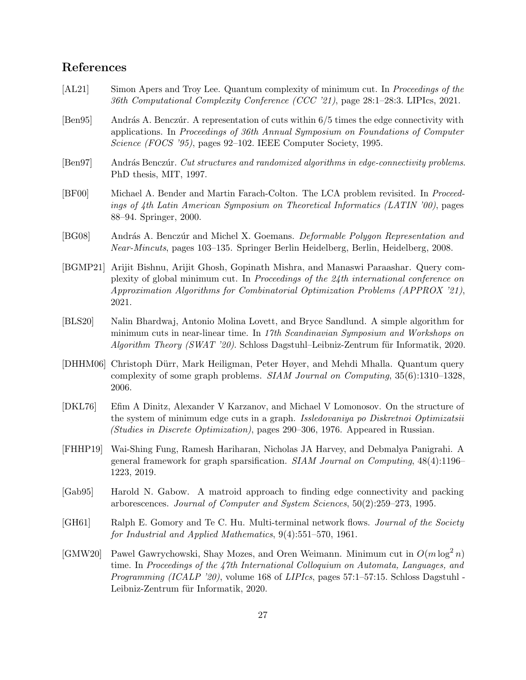# References

- <span id="page-26-7"></span>[AL21] Simon Apers and Troy Lee. Quantum complexity of minimum cut. In Proceedings of the 36th Computational Complexity Conference (CCC '21), page 28:1–28:3. LIPIcs, 2021.
- <span id="page-26-3"></span>[Ben95] András A. Benczúr. A representation of cuts within 6/5 times the edge connectivity with applications. In Proceedings of 36th Annual Symposium on Foundations of Computer Science (FOCS '95), pages 92-102. IEEE Computer Society, 1995.
- <span id="page-26-4"></span>[Ben97] András Benczúr. Cut structures and randomized algorithms in edge-connectivity problems. PhD thesis, MIT, 1997.
- <span id="page-26-9"></span>[BF00] Michael A. Bender and Martin Farach-Colton. The LCA problem revisited. In Proceedings of 4th Latin American Symposium on Theoretical Informatics (LATIN '00), pages 88–94. Springer, 2000.
- <span id="page-26-5"></span>[BG08] András A. Benczúr and Michel X. Goemans. Deformable Polygon Representation and Near-Mincuts, pages 103–135. Springer Berlin Heidelberg, Berlin, Heidelberg, 2008.
- <span id="page-26-11"></span>[BGMP21] Arijit Bishnu, Arijit Ghosh, Gopinath Mishra, and Manaswi Paraashar. Query complexity of global minimum cut. In Proceedings of the 24th international conference on Approximation Algorithms for Combinatorial Optimization Problems (APPROX '21), 2021.
- <span id="page-26-8"></span>[BLS20] Nalin Bhardwaj, Antonio Molina Lovett, and Bryce Sandlund. A simple algorithm for minimum cuts in near-linear time. In 17th Scandinavian Symposium and Workshops on Algorithm Theory (SWAT '20). Schloss Dagstuhl–Leibniz-Zentrum für Informatik, 2020.
- <span id="page-26-10"></span>[DHHM06] Christoph D¨urr, Mark Heiligman, Peter Høyer, and Mehdi Mhalla. Quantum query complexity of some graph problems. SIAM Journal on Computing, 35(6):1310–1328, 2006.
- <span id="page-26-6"></span>[DKL76] Efim A Dinitz, Alexander V Karzanov, and Michael V Lomonosov. On the structure of the system of minimum edge cuts in a graph. Issledovaniya po Diskretnoi Optimizatsii (Studies in Discrete Optimization), pages 290–306, 1976. Appeared in Russian.
- <span id="page-26-12"></span>[FHHP19] Wai-Shing Fung, Ramesh Hariharan, Nicholas JA Harvey, and Debmalya Panigrahi. A general framework for graph sparsification. SIAM Journal on Computing, 48(4):1196– 1223, 2019.
- <span id="page-26-2"></span>[Gab95] Harold N. Gabow. A matroid approach to finding edge connectivity and packing arborescences. Journal of Computer and System Sciences, 50(2):259–273, 1995.
- <span id="page-26-0"></span>[GH61] Ralph E. Gomory and Te C. Hu. Multi-terminal network flows. *Journal of the Society* for Industrial and Applied Mathematics, 9(4):551–570, 1961.
- <span id="page-26-1"></span>[GMW20] Pawel Gawrychowski, Shay Mozes, and Oren Weimann. Minimum cut in  $O(m \log^2 n)$ time. In Proceedings of the 47th International Colloquium on Automata, Languages, and Programming (ICALP '20), volume 168 of LIPIcs, pages 57:1–57:15. Schloss Dagstuhl -Leibniz-Zentrum für Informatik, 2020.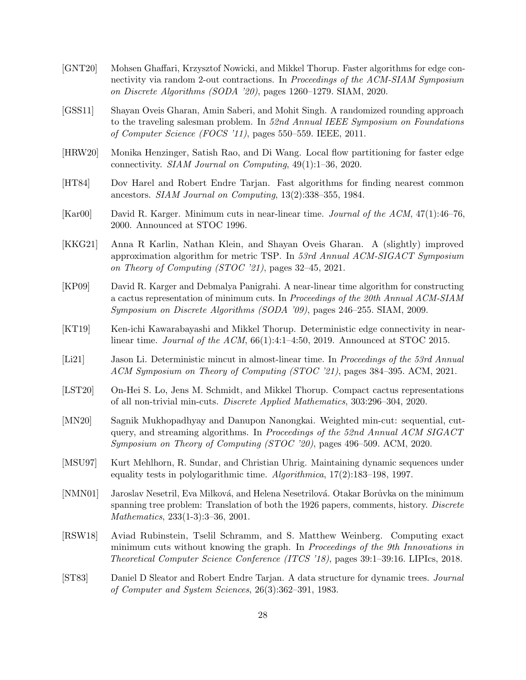- <span id="page-27-7"></span>[GNT20] Mohsen Ghaffari, Krzysztof Nowicki, and Mikkel Thorup. Faster algorithms for edge connectivity via random 2-out contractions. In Proceedings of the ACM-SIAM Symposium on Discrete Algorithms (SODA '20), pages 1260–1279. SIAM, 2020.
- <span id="page-27-8"></span>[GSS11] Shayan Oveis Gharan, Amin Saberi, and Mohit Singh. A randomized rounding approach to the traveling salesman problem. In 52nd Annual IEEE Symposium on Foundations of Computer Science (FOCS '11), pages 550–559. IEEE, 2011.
- <span id="page-27-3"></span>[HRW20] Monika Henzinger, Satish Rao, and Di Wang. Local flow partitioning for faster edge connectivity. SIAM Journal on Computing, 49(1):1–36, 2020.
- <span id="page-27-13"></span>[HT84] Dov Harel and Robert Endre Tarjan. Fast algorithms for finding nearest common ancestors. SIAM Journal on Computing, 13(2):338–355, 1984.
- <span id="page-27-0"></span>[Kar00] David R. Karger. Minimum cuts in near-linear time. Journal of the ACM, 47(1):46–76, 2000. Announced at STOC 1996.
- <span id="page-27-9"></span>[KKG21] Anna R Karlin, Nathan Klein, and Shayan Oveis Gharan. A (slightly) improved approximation algorithm for metric TSP. In 53rd Annual ACM-SIGACT Symposium on Theory of Computing (STOC '21), pages 32–45, 2021.
- <span id="page-27-11"></span>[KP09] David R. Karger and Debmalya Panigrahi. A near-linear time algorithm for constructing a cactus representation of minimum cuts. In Proceedings of the 20th Annual ACM-SIAM Symposium on Discrete Algorithms (SODA '09), pages 246–255. SIAM, 2009.
- <span id="page-27-2"></span>[KT19] Ken-ichi Kawarabayashi and Mikkel Thorup. Deterministic edge connectivity in nearlinear time. Journal of the ACM,  $66(1):4:1-4:50$ , 2019. Announced at STOC 2015.
- <span id="page-27-4"></span>[Li21] Jason Li. Deterministic mincut in almost-linear time. In Proceedings of the 53rd Annual ACM Symposium on Theory of Computing (STOC '21), pages 384–395. ACM, 2021.
- <span id="page-27-6"></span>[LST20] On-Hei S. Lo, Jens M. Schmidt, and Mikkel Thorup. Compact cactus representations of all non-trivial min-cuts. Discrete Applied Mathematics, 303:296–304, 2020.
- <span id="page-27-1"></span>[MN20] Sagnik Mukhopadhyay and Danupon Nanongkai. Weighted min-cut: sequential, cutquery, and streaming algorithms. In Proceedings of the 52nd Annual ACM SIGACT Symposium on Theory of Computing (STOC '20), pages 496–509. ACM, 2020.
- <span id="page-27-14"></span>[MSU97] Kurt Mehlhorn, R. Sundar, and Christian Uhrig. Maintaining dynamic sequences under equality tests in polylogarithmic time. Algorithmica, 17(2):183–198, 1997.
- <span id="page-27-10"></span>[NMN01] Jaroslav Nesetril, Eva Milková, and Helena Nesetrilová. Otakar Borůvka on the minimum spanning tree problem: Translation of both the 1926 papers, comments, history. *Discrete* Mathematics, 233(1-3):3–36, 2001.
- <span id="page-27-5"></span>[RSW18] Aviad Rubinstein, Tselil Schramm, and S. Matthew Weinberg. Computing exact minimum cuts without knowing the graph. In Proceedings of the 9th Innovations in Theoretical Computer Science Conference (ITCS '18), pages 39:1–39:16. LIPIcs, 2018.
- <span id="page-27-12"></span>[ST83] Daniel D Sleator and Robert Endre Tarjan. A data structure for dynamic trees. Journal of Computer and System Sciences, 26(3):362–391, 1983.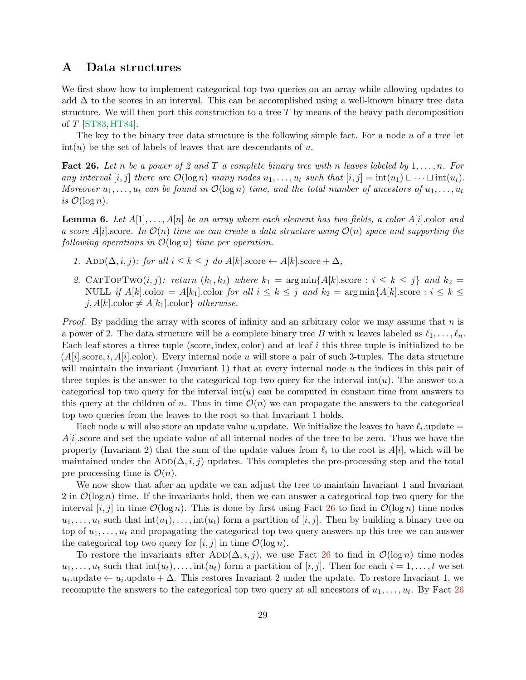# <span id="page-28-0"></span>A Data structures

We first show how to implement categorical top two queries on an array while allowing updates to add  $\Delta$  to the scores in an interval. This can be accomplished using a well-known binary tree data structure. We will then port this construction to a tree  $T$  by means of the heavy path decomposition of T [\[ST83,](#page-27-12)[HT84\]](#page-27-13).

The key to the binary tree data structure is the following simple fact. For a node  $u$  of a tree let  $\text{int}(u)$  be the set of labels of leaves that are descendants of u.

<span id="page-28-1"></span>**Fact 26.** Let n be a power of 2 and T a complete binary tree with n leaves labeled by  $1, \ldots, n$ . For any interval [i, j] there are  $\mathcal{O}(\log n)$  many nodes  $u_1, \ldots, u_t$  such that  $[i, j] = \text{int}(u_1) \sqcup \cdots \sqcup \text{int}(u_t)$ . Moreover  $u_1, \ldots, u_t$  can be found in  $\mathcal{O}(\log n)$  time, and the total number of ancestors of  $u_1, \ldots, u_t$ is  $\mathcal{O}(\log n)$ .

**Lemma 6.** Let  $A[1], \ldots, A[n]$  be an array where each element has two fields, a color  $A[i]$  color and a score  $A[i]$ .score. In  $\mathcal{O}(n)$  time we can create a data structure using  $\mathcal{O}(n)$  space and supporting the following operations in  $\mathcal{O}(\log n)$  time per operation.

- 1. ADD( $\Delta$ , i, j): for all  $i \leq k \leq j$  do  $A[k]$ .score  $\leftarrow A[k]$ .score +  $\Delta$ ,
- 2. CATTOPTWO $(i, j)$ : return  $(k_1, k_2)$  where  $k_1 = \arg \min \{A[k] \text{ score} : i \leq k \leq j\}$  and  $k_2 =$ NULL if  $A[k]$ .color =  $A[k_1]$ .color for all  $i \leq k \leq j$  and  $k_2 = \arg \min \{A[k]$ .score :  $i \leq k \leq j$ j,  $A[k]$ .color  $\neq A[k_1]$ .color} *otherwise.*

*Proof.* By padding the array with scores of infinity and an arbitrary color we may assume that n is a power of 2. The data structure will be a complete binary tree B with n leaves labeled as  $\ell_1, \ldots, \ell_n$ . Each leaf stores a three tuple (score, index, color) and at leaf i this three tuple is initialized to be  $(A[i].score, i, A[i].color)$ . Every internal node u will store a pair of such 3-tuples. The data structure will maintain the invariant (Invariant 1) that at every internal node  $u$  the indices in this pair of three tuples is the answer to the categorical top two query for the interval  $int(u)$ . The answer to a categorical top two query for the interval  $int(u)$  can be computed in constant time from answers to this query at the children of u. Thus in time  $\mathcal{O}(n)$  we can propagate the answers to the categorical top two queries from the leaves to the root so that Invariant 1 holds.

Each node u will also store an update value u.update. We initialize the leaves to have  $\ell_i$  update  $=$  $A[i]$ .score and set the update value of all internal nodes of the tree to be zero. Thus we have the property (Invariant 2) that the sum of the update values from  $\ell_i$  to the root is  $A[i]$ , which will be maintained under the ADD( $\Delta, i, j$ ) updates. This completes the pre-processing step and the total pre-processing time is  $\mathcal{O}(n)$ .

We now show that after an update we can adjust the tree to maintain Invariant 1 and Invariant 2 in  $\mathcal{O}(\log n)$  time. If the invariants hold, then we can answer a categorical top two query for the interval  $[i, j]$  in time  $\mathcal{O}(\log n)$ . This is done by first using Fact [26](#page-28-1) to find in  $\mathcal{O}(\log n)$  time nodes  $u_1, \ldots, u_t$  such that  $\text{int}(u_1), \ldots, \text{int}(u_t)$  form a partition of  $[i, j]$ . Then by building a binary tree on top of  $u_1, \ldots, u_t$  and propagating the categorical top two query answers up this tree we can answer the categorical top two query for  $[i, j]$  in time  $\mathcal{O}(\log n)$ .

To restore the invariants after ADD( $\Delta, i, j$ ), we use Fact [26](#page-28-1) to find in  $\mathcal{O}(\log n)$  time nodes  $u_1, \ldots, u_t$  such that  $\text{int}(u_t), \ldots, \text{int}(u_t)$  form a partition of  $[i, j]$ . Then for each  $i = 1, \ldots, t$  we set  $u_i$ update ←  $u_i$ update +  $\Delta$ . This restores Invariant 2 under the update. To restore Invariant 1, we recompute the answers to the categorical top two query at all ancestors of  $u_1, \ldots, u_t$ . By Fact [26](#page-28-1)